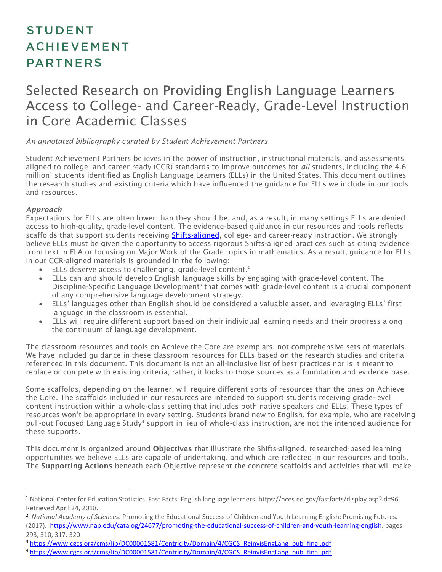# **STUDENT ACHIEVEMENT PARTNERS**

# Selected Research on Providing English Language Learners Access to College- and Career-Ready, Grade-Level Instruction in Core Academic Classes

#### *An annotated bibliography curated by Student Achievement Partners*

Student Achievement Partners believes in the power of instruction, instructional materials, and assessments aligned to college- and career-ready (CCR) standards to improve outcomes for *all* students, including the 4.6 million' students identified as English Language Learners (ELLs) in the United States. This document outlines the research studies and existing criteria which have influenced the guidance for ELLs we include in our tools and resources.

#### *Approach*

 $\overline{a}$ 

Expectations for ELLs are often lower than they should be, and, as a result, in many settings ELLs are denied access to high-quality, grade-level content. The evidence-based guidance in our resources and tools reflects scaffolds that support students receiving **Shifts-aligned**, college- and career-ready instruction. We strongly believe ELLs must be given the opportunity to access rigorous Shifts-aligned practices such as citing evidence from text in ELA or focusing on Major Work of the Grade topics in mathematics. As a result, guidance for ELLs in our CCR-aligned materials is grounded in the following:

- ELLs deserve access to challenging, grade-level content.<sup>2</sup>
- ELLs can and should develop English language skills by engaging with grade-level content. The Discipline-Specific Language Development<sup>3</sup> that comes with grade-level content is a crucial component of any comprehensive language development strategy.
- ELLs' languages other than English should be considered a valuable asset, and leveraging ELLs' first language in the classroom is essential.
- ELLs will require different support based on their individual learning needs and their progress along the continuum of language development.

The classroom resources and tools on Achieve the Core are exemplars, not comprehensive sets of materials. We have included guidance in these classroom resources for ELLs based on the research studies and criteria referenced in this document. This document is not an all-inclusive list of best practices nor is it meant to replace or compete with existing criteria; rather, it looks to those sources as a foundation and evidence base.

Some scaffolds, depending on the learner, will require different sorts of resources than the ones on Achieve the Core. The scaffolds included in our resources are intended to support students receiving grade-level content instruction within a whole-class setting that includes both native speakers and ELLs. These types of resources won't be appropriate in every setting. Students brand new to English, for example, who are receiving pull-out Focused Language Study<sup>4</sup> support in lieu of whole-class instruction, are not the intended audience for these supports.

This document is organized around Objectives that illustrate the Shifts-aligned, researched-based learning opportunities we believe ELLs are capable of undertaking, and which are reflected in our resources and tools. The Supporting Actions beneath each Objective represent the concrete scaffolds and activities that will make

<sup>1</sup> National Center for Education Statistics. Fast Facts: English language learners. [https://nces.ed.gov/fastfacts/display.asp?id=96.](https://nces.ed.gov/fastfacts/display.asp?id=96) Retrieved April 24, 2018.

<sup>2</sup> *National Academy of Sciences*. Promoting the Educational Success of Children and Youth Learning English: Promising Futures. (2017). [https://www.nap.edu/catalog/24677/promoting-the-educational-success-of-children-and-youth-learning-english.](https://www.nap.edu/catalog/24677/promoting-the-educational-success-of-children-and-youth-learning-english) pages 293, 310, 317. 320

<sup>&</sup>lt;sup>3</sup> [https://www.cgcs.org/cms/lib/DC00001581/Centricity/Domain/4/CGCS\\_ReinvisEngLang\\_pub\\_final.pdf](https://www.cgcs.org/cms/lib/DC00001581/Centricity/Domain/4/CGCS_ReinvisEngLang_pub_final.pdf)

<sup>4</sup> [https://www.cgcs.org/cms/lib/DC00001581/Centricity/Domain/4/CGCS\\_ReinvisEngLang\\_pub\\_final.pdf](https://www.cgcs.org/cms/lib/DC00001581/Centricity/Domain/4/CGCS_ReinvisEngLang_pub_final.pdf)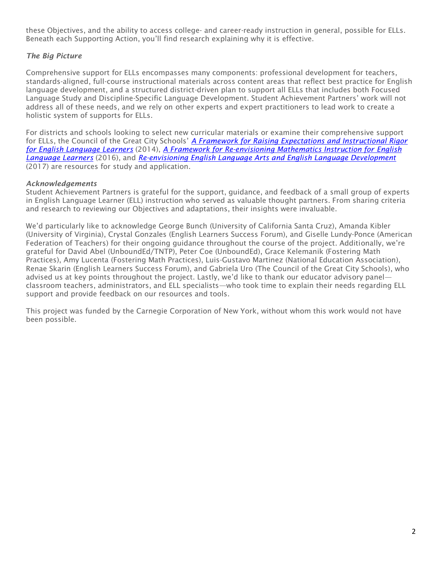these Objectives, and the ability to access college- and career-ready instruction in general, possible for ELLs. Beneath each Supporting Action, you'll find research explaining why it is effective.

# *The Big Picture*

Comprehensive support for ELLs encompasses many components: professional development for teachers, standards-aligned, full-course instructional materials across content areas that reflect best practice for English language development, and a structured district-driven plan to support all ELLs that includes both Focused Language Study and Discipline-Specific Language Development. Student Achievement Partners' work will not address all of these needs, and we rely on other experts and expert practitioners to lead work to create a holistic system of supports for ELLs.

For districts and schools looking to select new curricular materials or examine their comprehensive support for ELLs, the Council of the Great City Schools' *[A Framework for Raising Expectations and Instructional Rigor](https://www.cgcs.org/cms/lib/DC00001581/Centricity/Domain/4/Framework%20for%20Raising%20Expectations.pdf)  [for English Language Learners](https://www.cgcs.org/cms/lib/DC00001581/Centricity/Domain/4/Framework%20for%20Raising%20Expectations.pdf)* (2014), *[A Framework for Re-envisioning Mathematics Instruction for English](https://www.cgcs.org/cms/lib/DC00001581/Centricity/Domain/87/FrameworkForMath4ELLs.pdf)  [Language Learners](https://www.cgcs.org/cms/lib/DC00001581/Centricity/Domain/87/FrameworkForMath4ELLs.pdf)* (2016), and *[Re-envisioning English Language Arts and English Language Development](https://www.cgcs.org/cms/lib/DC00001581/Centricity/Domain/4/CGCS_ReinvisEngLang_pub_final.pdf)* (2017) are resources for study and application.

#### *Acknowledgements*

Student Achievement Partners is grateful for the support, guidance, and feedback of a small group of experts in English Language Learner (ELL) instruction who served as valuable thought partners. From sharing criteria and research to reviewing our Objectives and adaptations, their insights were invaluable.

We'd particularly like to acknowledge George Bunch (University of California Santa Cruz), Amanda Kibler (University of Virginia), Crystal Gonzales (English Learners Success Forum), and Giselle Lundy-Ponce (American Federation of Teachers) for their ongoing guidance throughout the course of the project. Additionally, we're grateful for David Abel (UnboundEd/TNTP), Peter Coe (UnboundEd), Grace Kelemanik (Fostering Math Practices), Amy Lucenta (Fostering Math Practices), Luis-Gustavo Martinez (National Education Association), Renae Skarin (English Learners Success Forum), and Gabriela Uro (The Council of the Great City Schools), who advised us at key points throughout the project. Lastly, we'd like to thank our educator advisory panel classroom teachers, administrators, and ELL specialists—who took time to explain their needs regarding ELL support and provide feedback on our resources and tools.

This project was funded by the Carnegie Corporation of New York, without whom this work would not have been possible.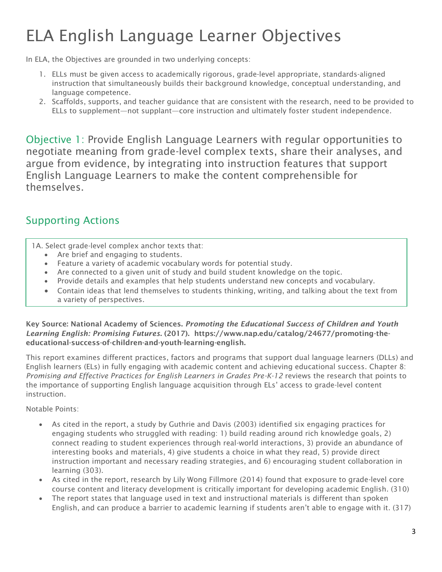# ELA English Language Learner Objectives

In ELA, the Objectives are grounded in two underlying concepts:

- 1. ELLs must be given access to academically rigorous, grade-level appropriate, standards-aligned instruction that simultaneously builds their background knowledge, conceptual understanding, and language competence.
- 2. Scaffolds, supports, and teacher guidance that are consistent with the research, need to be provided to ELLs to supplement—not supplant—core instruction and ultimately foster student independence.

Objective 1: Provide English Language Learners with regular opportunities to negotiate meaning from grade-level complex texts, share their analyses, and argue from evidence, by integrating into instruction features that support English Language Learners to make the content comprehensible for themselves.

# Supporting Actions

1A. Select grade-level complex anchor texts that:

- Are brief and engaging to students.
- Feature a variety of academic vocabulary words for potential study.
- Are connected to a given unit of study and build student knowledge on the topic.
- Provide details and examples that help students understand new concepts and vocabulary.
- Contain ideas that lend themselves to students thinking, writing, and talking about the text from a variety of perspectives.

Key Source: National Academy of Sciences. *Promoting the Educational Success of Children and Youth Learning English: Promising Futures*. (2017). https://www.nap.edu/catalog/24677/promoting-theeducational-success-of-children-and-youth-learning-english.

This report examines different practices, factors and programs that support dual language learners (DLLs) and English learners (ELs) in fully engaging with academic content and achieving educational success. Chapter 8: *Promising and Effective Practices for English Learners in Grades Pre-K-12* reviews the research that points to the importance of supporting English language acquisition through ELs' access to grade-level content instruction.

- As cited in the report, a study by Guthrie and Davis (2003) identified six engaging practices for engaging students who struggled with reading: 1) build reading around rich knowledge goals, 2) connect reading to student experiences through real-world interactions, 3) provide an abundance of interesting books and materials, 4) give students a choice in what they read, 5) provide direct instruction important and necessary reading strategies, and 6) encouraging student collaboration in learning (303).
- As cited in the report, research by Lily Wong Fillmore (2014) found that exposure to grade-level core course content and literacy development is critically important for developing academic English. (310)
- The report states that language used in text and instructional materials is different than spoken English, and can produce a barrier to academic learning if students aren't able to engage with it. (317)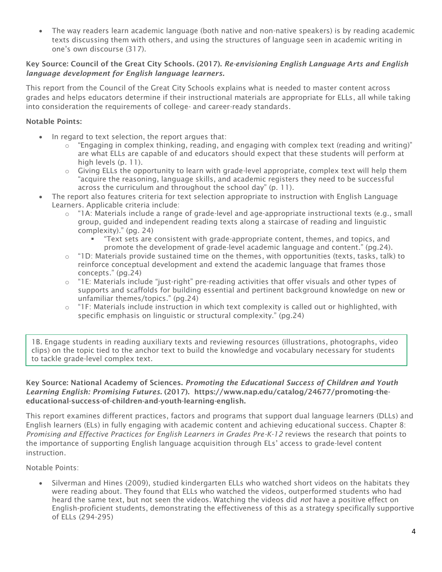• The way readers learn academic language (both native and non-native speakers) is by reading academic texts discussing them with others, and using the structures of language seen in academic writing in one's own discourse (317).

# Key Source: Council of the Great City Schools. (2017). *Re-envisioning English Language Arts and English language development for English language learners.*

This report from the Council of the Great City Schools explains what is needed to master content across grades and helps educators determine if their instructional materials are appropriate for ELLs, all while taking into consideration the requirements of college- and career-ready standards.

# Notable Points:

- In regard to text selection, the report argues that:
	- $\circ$  "Engaging in complex thinking, reading, and engaging with complex text (reading and writing)" are what ELLs are capable of and educators should expect that these students will perform at high levels (p. 11).
	- $\circ$  Giving ELLs the opportunity to learn with grade-level appropriate, complex text will help them "acquire the reasoning, language skills, and academic registers they need to be successful across the curriculum and throughout the school day" (p. 11).
- The report also features criteria for text selection appropriate to instruction with English Language Learners. Applicable criteria include:
	- o "1A: Materials include a range of grade-level and age-appropriate instructional texts (e.g., small group, guided and independent reading texts along a staircase of reading and linguistic complexity)." (pg. 24)
		- "Text sets are consistent with grade-appropriate content, themes, and topics, and promote the development of grade-level academic language and content." (pg.24).
	- $\circ$  "1D: Materials provide sustained time on the themes, with opportunities (texts, tasks, talk) to reinforce conceptual development and extend the academic language that frames those concepts." (pg.24)
	- $\circ$  "1E: Materials include "just-right" pre-reading activities that offer visuals and other types of supports and scaffolds for building essential and pertinent background knowledge on new or unfamiliar themes/topics." (pg.24)
	- $\circ$  "IF: Materials include instruction in which text complexity is called out or highlighted, with specific emphasis on linguistic or structural complexity." (pg.24)

1B. Engage students in reading auxiliary texts and reviewing resources (illustrations, photographs, video clips) on the topic tied to the anchor text to build the knowledge and vocabulary necessary for students to tackle grade-level complex text.

Key Source: National Academy of Sciences. *Promoting the Educational Success of Children and Youth Learning English: Promising Futures*. (2017). https://www.nap.edu/catalog/24677/promoting-theeducational-success-of-children-and-youth-learning-english.

This report examines different practices, factors and programs that support dual language learners (DLLs) and English learners (ELs) in fully engaging with academic content and achieving educational success. Chapter 8: *Promising and Effective Practices for English Learners in Grades Pre-K-12* reviews the research that points to the importance of supporting English language acquisition through ELs' access to grade-level content instruction.

Notable Points:

• Silverman and Hines (2009), studied kindergarten ELLs who watched short videos on the habitats they were reading about. They found that ELLs who watched the videos, outperformed students who had heard the same text, but not seen the videos. Watching the videos did *not* have a positive effect on English-proficient students, demonstrating the effectiveness of this as a strategy specifically supportive of ELLs (294-295)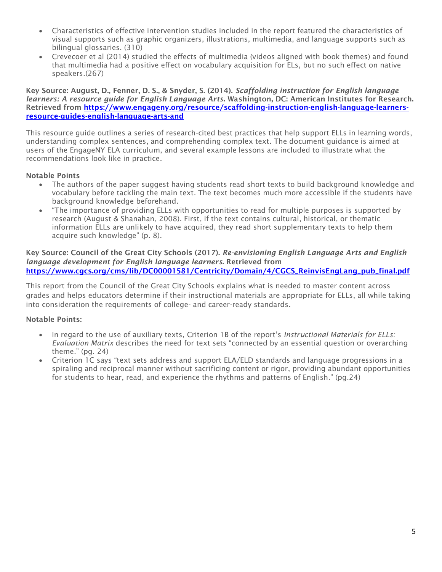- Characteristics of effective intervention studies included in the report featured the characteristics of visual supports such as graphic organizers, illustrations, multimedia, and language supports such as bilingual glossaries. (310)
- Crevecoer et al (2014) studied the effects of multimedia (videos aligned with book themes) and found that multimedia had a positive effect on vocabulary acquisition for ELs, but no such effect on native speakers.(267)

Key Source: August, D., Fenner, D. S., & Snyder, S. (2014). *Scaffolding instruction for English language learners: A resource guide for English Language Arts*. Washington, DC: American Institutes for Research. Retrieved from [https://www.engageny.org/resource/scaffolding-instruction-english-language-learners](https://www.engageny.org/resource/scaffolding-instruction-english-language-learners-resource-guides-english-language-arts-and)[resource-guides-english-language-arts-and](https://www.engageny.org/resource/scaffolding-instruction-english-language-learners-resource-guides-english-language-arts-and)

This resource guide outlines a series of research-cited best practices that help support ELLs in learning words, understanding complex sentences, and comprehending complex text. The document guidance is aimed at users of the EngageNY ELA curriculum, and several example lessons are included to illustrate what the recommendations look like in practice.

### Notable Points

- The authors of the paper suggest having students read short texts to build background knowledge and vocabulary before tackling the main text. The text becomes much more accessible if the students have background knowledge beforehand.
- "The importance of providing ELLs with opportunities to read for multiple purposes is supported by research (August & Shanahan, 2008). First, if the text contains cultural, historical, or thematic information ELLs are unlikely to have acquired, they read short supplementary texts to help them acquire such knowledge" (p. 8).

Key Source: Council of the Great City Schools (2017). *Re-envisioning English Language Arts and English language development for English language learners*. Retrieved from [https://www.cgcs.org/cms/lib/DC00001581/Centricity/Domain/4/CGCS\\_ReinvisEngLang\\_pub\\_final.pdf](https://www.cgcs.org/cms/lib/DC00001581/Centricity/Domain/4/CGCS_ReinvisEngLang_pub_final.pdf)

This report from the Council of the Great City Schools explains what is needed to master content across grades and helps educators determine if their instructional materials are appropriate for ELLs, all while taking into consideration the requirements of college- and career-ready standards.

- In regard to the use of auxiliary texts, Criterion 1B of the report's *Instructional Materials for ELLs: Evaluation Matrix* describes the need for text sets "connected by an essential question or overarching theme." (pg. 24)
- Criterion 1C says "text sets address and support ELA/ELD standards and language progressions in a spiraling and reciprocal manner without sacrificing content or rigor, providing abundant opportunities for students to hear, read, and experience the rhythms and patterns of English." (pg.24)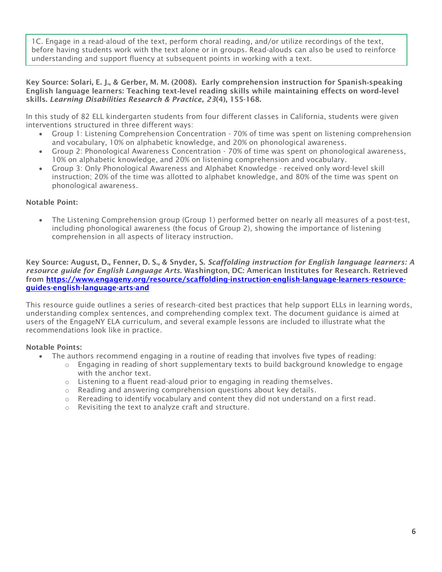1C. Engage in a read-aloud of the text, perform choral reading, and/or utilize recordings of the text, before having students work with the text alone or in groups. Read-alouds can also be used to reinforce understanding and support fluency at subsequent points in working with a text.

#### Key Source: Solari, E. J., & Gerber, M. M. (2008). Early comprehension instruction for Spanish‐speaking English language learners: Teaching text‐level reading skills while maintaining effects on word‐level skills. *Learning Disabilities Research & Practice, 23*(4), 155-168.

In this study of 82 ELL kindergarten students from four different classes in California, students were given interventions structured in three different ways:

- Group 1: Listening Comprehension Concentration 70% of time was spent on listening comprehension and vocabulary, 10% on alphabetic knowledge, and 20% on phonological awareness.
- Group 2: Phonological Awareness Concentration 70% of time was spent on phonological awareness, 10% on alphabetic knowledge, and 20% on listening comprehension and vocabulary.
- Group 3: Only Phonological Awareness and Alphabet Knowledge received only word-level skill instruction; 20% of the time was allotted to alphabet knowledge, and 80% of the time was spent on phonological awareness.

# Notable Point:

• The Listening Comprehension group (Group 1) performed better on nearly all measures of a post-test, including phonological awareness (the focus of Group 2), showing the importance of listening comprehension in all aspects of literacy instruction.

Key Source: August, D., Fenner, D. S., & Snyder, S. *Scaffolding instruction for English language learners: A resource guide for English Language Arts*. Washington, DC: American Institutes for Research. Retrieved from [https://www.engageny.org/resource/scaffolding-instruction-english-language-learners-resource](https://www.engageny.org/resource/scaffolding-instruction-english-language-learners-resource-guides-english-language-arts-and)[guides-english-language-arts-and](https://www.engageny.org/resource/scaffolding-instruction-english-language-learners-resource-guides-english-language-arts-and)

This resource guide outlines a series of research-cited best practices that help support ELLs in learning words, understanding complex sentences, and comprehending complex text. The document guidance is aimed at users of the EngageNY ELA curriculum, and several example lessons are included to illustrate what the recommendations look like in practice.

- The authors recommend engaging in a routine of reading that involves five types of reading:
	- $\circ$  Engaging in reading of short supplementary texts to build background knowledge to engage with the anchor text.
	- o Listening to a fluent read-aloud prior to engaging in reading themselves.
	- $\circ$  Reading and answering comprehension questions about key details.
	- $\circ$  Rereading to identify vocabulary and content they did not understand on a first read.
	- o Revisiting the text to analyze craft and structure.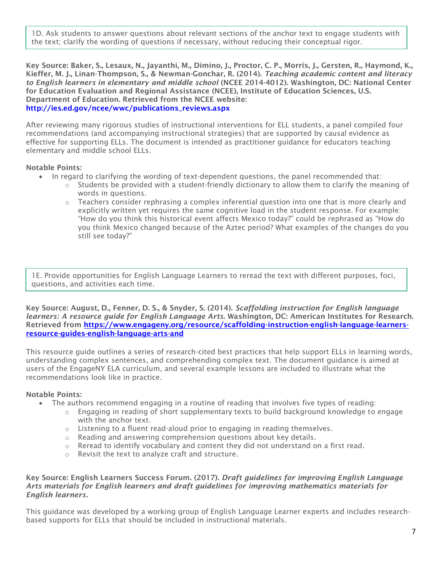1D. Ask students to answer questions about relevant sections of the anchor text to engage students with the text; clarify the wording of questions if necessary, without reducing their conceptual rigor.

Key Source: Baker, S., Lesaux, N., Jayanthi, M., Dimino, J., Proctor, C. P., Morris, J., Gersten, R., Haymond, K., Kieffer, M. J., Linan-Thompson, S., & Newman-Gonchar, R. (2014). *Teaching academic content and literacy to English learners in elementary and middle school* (NCEE 2014-4012). Washington, DC: National Center for Education Evaluation and Regional Assistance (NCEE), Institute of Education Sciences, U.S. Department of Education. Retrieved from the NCEE website: http://ies.ed.gov/ncee/wwc/publications\_reviews.aspx

After reviewing many rigorous studies of instructional interventions for ELL students, a panel compiled four recommendations (and accompanying instructional strategies) that are supported by causal evidence as effective for supporting ELLs. The document is intended as practitioner guidance for educators teaching elementary and middle school ELLs.

#### Notable Points:

- In regard to clarifying the wording of text-dependent questions, the panel recommended that:
	- $\circ$  Students be provided with a student-friendly dictionary to allow them to clarify the meaning of words in questions.
	- $\circ$  Teachers consider rephrasing a complex inferential question into one that is more clearly and explicitly written yet requires the same cognitive load in the student response. For example: "How do you think this historical event affects Mexico today?" could be rephrased as "How do you think Mexico changed because of the Aztec period? What examples of the changes do you still see today?"

1E. Provide opportunities for English Language Learners to reread the text with different purposes, foci, questions, and activities each time.

Key Source: August, D., Fenner, D. S., & Snyder, S. (2014). *Scaffolding instruction for English language learners: A resource guide for English Language Arts*. Washington, DC: American Institutes for Research. Retrieved from [https://www.engageny.org/resource/scaffolding-instruction-english-language-learners](https://www.engageny.org/resource/scaffolding-instruction-english-language-learners-resource-guides-english-language-arts-and)[resource-guides-english-language-arts-and](https://www.engageny.org/resource/scaffolding-instruction-english-language-learners-resource-guides-english-language-arts-and)

This resource guide outlines a series of research-cited best practices that help support ELLs in learning words, understanding complex sentences, and comprehending complex text. The document guidance is aimed at users of the EngageNY ELA curriculum, and several example lessons are included to illustrate what the recommendations look like in practice.

#### Notable Points:

- The authors recommend engaging in a routine of reading that involves five types of reading:
	- $\circ$  Engaging in reading of short supplementary texts to build background knowledge to engage with the anchor text.
	- $\circ$  Listening to a fluent read-aloud prior to engaging in reading themselves.
	- o Reading and answering comprehension questions about key details.
	- $\circ$  Reread to identify vocabulary and content they did not understand on a first read.
	- o Revisit the text to analyze craft and structure.

#### Key Source: English Learners Success Forum. (2017). *Draft guidelines for improving English Language Arts materials for English learners and draft guidelines for improving mathematics materials for English learners.*

This guidance was developed by a working group of English Language Learner experts and includes researchbased supports for ELLs that should be included in instructional materials.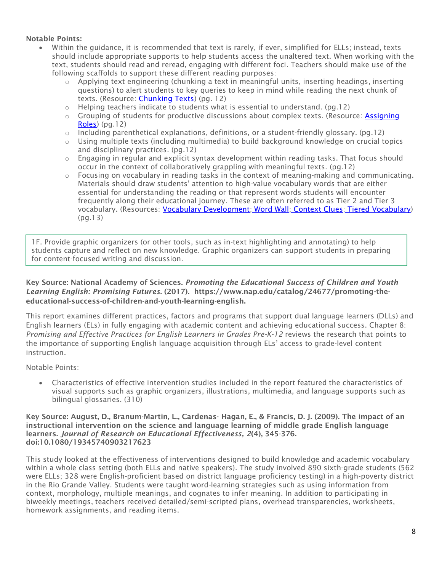# Notable Points:

- Within the guidance, it is recommended that text is rarely, if ever, simplified for ELLs; instead, texts should include appropriate supports to help students access the unaltered text. When working with the text, students should read and reread, engaging with different foci. Teachers should make use of the following scaffolds to support these different reading purposes:
	- $\circ$  Applying text engineering (chunking a text in meaningful units, inserting headings, inserting questions) to alert students to key queries to keep in mind while reading the next chunk of texts. (Resource: [Chunking Texts\)](https://www.facinghistory.org/resource-library/teaching-strategies/chunking) (pg. 12)
	- $\circ$  Helping teachers indicate to students what is essential to understand. (pg.12)
	- o Grouping of students for productive discussions about complex texts. (Resource: **Assigning** [Roles\)](https://www.facinghistory.org/resource-library/teaching-strategies/assigning-roles-group-work) (pg.12)
	- $\circ$  Including parenthetical explanations, definitions, or a student-friendly glossary. (pg.12)
	- $\circ$  Using multiple texts (including multimedia) to build background knowledge on crucial topics and disciplinary practices. (pg.12)
	- $\circ$  Engaging in regular and explicit syntax development within reading tasks. That focus should occur in the context of collaboratively grappling with meaningful texts. (pg.12)
	- $\circ$  Focusing on vocabulary in reading tasks in the context of meaning-making and communicating. Materials should draw students' attention to high-value vocabulary words that are either essential for understanding the reading or that represent words students will encounter frequently along their educational journey. These are often referred to as Tier 2 and Tier 3 vocabulary. (Resources: [Vocabulary Development;](https://www.teachingchannel.org/videos/middle-school-vocabulary-development) [Word Wall;](https://www.facinghistory.org/resource-library/teaching-strategies/word-wall) [Context Clues;](http://www.empoweringells.com/a15-context-clues/) [Tiered Vocabulary\)](http://www.empoweringells.com/tiered-vocabulary/) (pg.13)

1F. Provide graphic organizers (or other tools, such as in-text highlighting and annotating) to help students capture and reflect on new knowledge. Graphic organizers can support students in preparing for content-focused writing and discussion.

# Key Source: National Academy of Sciences. *Promoting the Educational Success of Children and Youth Learning English: Promising Futures*. (2017). https://www.nap.edu/catalog/24677/promoting-theeducational-success-of-children-and-youth-learning-english.

This report examines different practices, factors and programs that support dual language learners (DLLs) and English learners (ELs) in fully engaging with academic content and achieving educational success. Chapter 8: *Promising and Effective Practices for English Learners in Grades Pre-K-12* reviews the research that points to the importance of supporting English language acquisition through ELs' access to grade-level content instruction.

Notable Points:

• Characteristics of effective intervention studies included in the report featured the characteristics of visual supports such as graphic organizers, illustrations, multimedia, and language supports such as bilingual glossaries. (310)

#### Key Source: August, D., Branum-Martin, L., Cardenas- Hagan, E., & Francis, D. J. (2009). The impact of an instructional intervention on the science and language learning of middle grade English language learners. *Journal of Research on Educational Effectiveness, 2*(4), 345-376. doi:10.1080/19345740903217623

This study looked at the effectiveness of interventions designed to build knowledge and academic vocabulary within a whole class setting (both ELLs and native speakers). The study involved 890 sixth-grade students (562 were ELLs; 328 were English-proficient based on district language proficiency testing) in a high-poverty district in the Rio Grande Valley. Students were taught word-learning strategies such as using information from context, morphology, multiple meanings, and cognates to infer meaning. In addition to participating in biweekly meetings, teachers received detailed/semi-scripted plans, overhead transparencies, worksheets, homework assignments, and reading items.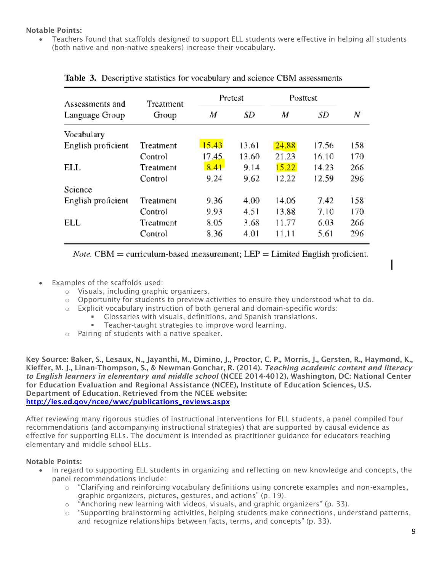# Notable Points:

• Teachers found that scaffolds designed to support ELL students were effective in helping all students (both native and non-native speakers) increase their vocabulary.

| Assessments and    | Treatment |       | Pretest | Posttest |       |     |
|--------------------|-----------|-------|---------|----------|-------|-----|
| Language Group     | Group     | M     | SD      | M        | SD    | Ν   |
| Vocabulary         |           |       |         |          |       |     |
| English proficient | Treatment | 15.43 | 13.61   | 24.88    | 17.56 | 158 |
|                    | Control   | 17.45 | 13.60   | 21.23    | 16.10 | 170 |
| ELL                | Treatment | 8.41  | 9.14    | 15.22    | 14.23 | 266 |
|                    | Control   | 9.24  | 9.62    | 12.22    | 12.59 | 296 |
| Science            |           |       |         |          |       |     |
| English proficient | Treatment | 9.36  | 4.00    | 14.06    | 7.42  | 158 |
|                    | Control   | 9.93  | 4.51    | 13.88    | 7.10  | 170 |
| ELL                | Treatment | 8.05  | 3.68    | 11.77    | 6.03  | 266 |
|                    | Control   | 8.36  | 4.01    | 11.11    | 5.61  | 296 |

## **Table 3.** Descriptive statistics for vocabulary and science CBM assessments

*Note.* CBM = curriculum-based measurement; LEP = Limited English proficient.

- Examples of the scaffolds used:
	- o Visuals, including graphic organizers.
	- $\circ$  Opportunity for students to preview activities to ensure they understood what to do.
	- $\circ$  Explicit vocabulary instruction of both general and domain-specific words:
		- Glossaries with visuals, definitions, and Spanish translations.
		- **EXEC** Teacher-taught strategies to improve word learning.
	- o Pairing of students with a native speaker.

Key Source: Baker, S., Lesaux, N., Jayanthi, M., Dimino, J., Proctor, C. P., Morris, J., Gersten, R., Haymond, K., Kieffer, M. J., Linan-Thompson, S., & Newman-Gonchar, R. (2014). *Teaching academic content and literacy to English learners in elementary and middle school* (NCEE 2014-4012). Washington, DC: National Center for Education Evaluation and Regional Assistance (NCEE), Institute of Education Sciences, U.S. Department of Education. Retrieved from the NCEE website: [http://ies.ed.gov/ncee/wwc/publications\\_reviews.aspx](http://ies.ed.gov/ncee/wwc/publications_reviews.aspx)

After reviewing many rigorous studies of instructional interventions for ELL students, a panel compiled four recommendations (and accompanying instructional strategies) that are supported by causal evidence as effective for supporting ELLs. The document is intended as practitioner guidance for educators teaching elementary and middle school ELLs.

- In regard to supporting ELL students in organizing and reflecting on new knowledge and concepts, the panel recommendations include:
	- $\circ$  "Clarifying and reinforcing vocabulary definitions using concrete examples and non-examples, graphic organizers, pictures, gestures, and actions" (p. 19).
	- o "Anchoring new learning with videos, visuals, and graphic organizers" (p. 33).
	- $\circ$  "Supporting brainstorming activities, helping students make connections, understand patterns, and recognize relationships between facts, terms, and concepts" (p. 33).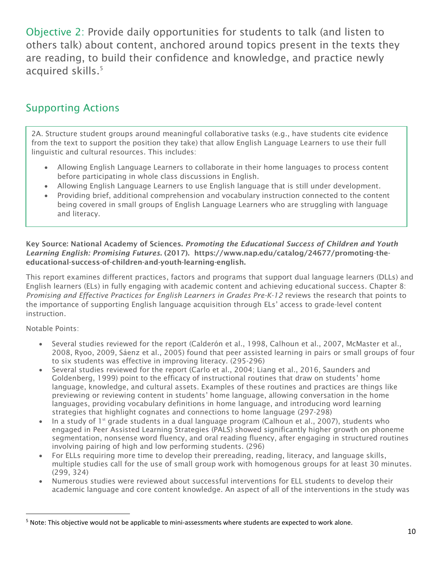Objective 2: Provide daily opportunities for students to talk (and listen to others talk) about content, anchored around topics present in the texts they are reading, to build their confidence and knowledge, and practice newly acquired skills.<sup>5</sup>

# Supporting Actions

2A. Structure student groups around meaningful collaborative tasks (e.g., have students cite evidence from the text to support the position they take) that allow English Language Learners to use their full linguistic and cultural resources. This includes:

- Allowing English Language Learners to collaborate in their home languages to process content before participating in whole class discussions in English.
- Allowing English Language Learners to use English language that is still under development.
- Providing brief, additional comprehension and vocabulary instruction connected to the content being covered in small groups of English Language Learners who are struggling with language and literacy.

# Key Source: National Academy of Sciences. *Promoting the Educational Success of Children and Youth Learning English: Promising Futures*. (2017). https://www.nap.edu/catalog/24677/promoting-theeducational-success-of-children-and-youth-learning-english.

This report examines different practices, factors and programs that support dual language learners (DLLs) and English learners (ELs) in fully engaging with academic content and achieving educational success. Chapter 8: *Promising and Effective Practices for English Learners in Grades Pre-K-12* reviews the research that points to the importance of supporting English language acquisition through ELs' access to grade-level content instruction.

Notable Points:

l

- Several studies reviewed for the report (Calderón et al., 1998, Calhoun et al., 2007, McMaster et al., 2008, Ryoo, 2009, Sáenz et al., 2005) found that peer assisted learning in pairs or small groups of four to six students was effective in improving literacy. (295-296)
- Several studies reviewed for the report (Carlo et al., 2004; Liang et al., 2016, Saunders and Goldenberg, 1999) point to the efficacy of instructional routines that draw on students' home language, knowledge, and cultural assets. Examples of these routines and practices are things like previewing or reviewing content in students' home language, allowing conversation in the home languages, providing vocabulary definitions in home language, and introducing word learning strategies that highlight cognates and connections to home language (297-298)
- In a study of 1<sup>st</sup> grade students in a dual language program (Calhoun et al., 2007), students who engaged in Peer Assisted Learning Strategies (PALS) showed significantly higher growth on phoneme segmentation, nonsense word fluency, and oral reading fluency, after engaging in structured routines involving pairing of high and low performing students. (296)
- For ELLs requiring more time to develop their prereading, reading, literacy, and language skills, multiple studies call for the use of small group work with homogenous groups for at least 30 minutes. (299, 324)
- Numerous studies were reviewed about successful interventions for ELL students to develop their academic language and core content knowledge. An aspect of all of the interventions in the study was

 $5$  Note: This objective would not be applicable to mini-assessments where students are expected to work alone.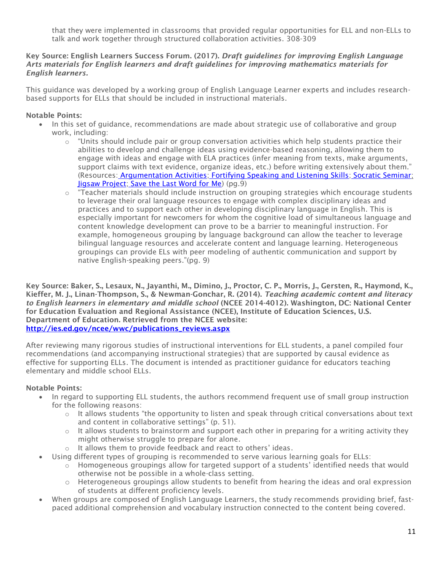that they were implemented in classrooms that provided regular opportunities for ELL and non-ELLs to talk and work together through structured collaboration activities. 308-309

#### Key Source: English Learners Success Forum. (2017). *Draft guidelines for improving English Language Arts materials for English learners and draft guidelines for improving mathematics materials for English learners.*

This guidance was developed by a working group of English Language Learner experts and includes researchbased supports for ELLs that should be included in instructional materials.

# Notable Points:

- In this set of guidance, recommendations are made about strategic use of collaborative and group work, including:
	- $\circ$  "Units should include pair or group conversation activities which help students practice their abilities to develop and challenge ideas using evidence-based reasoning, allowing them to engage with ideas and engage with ELA practices (infer meaning from texts, make arguments, support claims with text evidence, organize ideas, etc.) before writing extensively about them." (Resources: [Argumentation Activities;](http://jeffzwiers.org/cultivating-constructive-conversations) [Fortifying Speaking and Listening Skills;](http://jeffzwiers.org/fortifying-speaking) [Socratic Seminar;](https://www.facinghistory.org/resource-library/teaching-strategies/socratic-seminar) [Jigsaw Project;](https://www.teachingchannel.org/videos/groups-to-analyze-complex-texts) [Save the Last Word for Me\)](https://www.facinghistory.org/resource-library/teaching-strategies/save-last-word-me) (pg.9)
	- $\circ$  "Teacher materials should include instruction on grouping strategies which encourage students to leverage their oral language resources to engage with complex disciplinary ideas and practices and to support each other in developing disciplinary language in English. This is especially important for newcomers for whom the cognitive load of simultaneous language and content knowledge development can prove to be a barrier to meaningful instruction. For example, homogeneous grouping by language background can allow the teacher to leverage bilingual language resources and accelerate content and language learning. Heterogeneous groupings can provide ELs with peer modeling of authentic communication and support by native English-speaking peers."(pg. 9)

Key Source: Baker, S., Lesaux, N., Jayanthi, M., Dimino, J., Proctor, C. P., Morris, J., Gersten, R., Haymond, K., Kieffer, M. J., Linan-Thompson, S., & Newman-Gonchar, R. (2014). *Teaching academic content and literacy to English learners in elementary and middle school* (NCEE 2014-4012). Washington, DC: National Center for Education Evaluation and Regional Assistance (NCEE), Institute of Education Sciences, U.S. Department of Education. Retrieved from the NCEE website: [http://ies.ed.gov/ncee/wwc/publications\\_reviews.aspx](http://ies.ed.gov/ncee/wwc/publications_reviews.aspx)

After reviewing many rigorous studies of instructional interventions for ELL students, a panel compiled four recommendations (and accompanying instructional strategies) that are supported by causal evidence as effective for supporting ELLs. The document is intended as practitioner guidance for educators teaching elementary and middle school ELLs.

- In regard to supporting ELL students, the authors recommend frequent use of small group instruction for the following reasons:
	- $\circ$  It allows students "the opportunity to listen and speak through critical conversations about text and content in collaborative settings" (p. 51).
	- $\circ$  It allows students to brainstorm and support each other in preparing for a writing activity they might otherwise struggle to prepare for alone.
	- o It allows them to provide feedback and react to others' ideas.
- Using different types of grouping is recommended to serve various learning goals for ELLs:
	- $\circ$  Homogeneous groupings allow for targeted support of a students' identified needs that would otherwise not be possible in a whole-class setting.
	- $\circ$  Heterogeneous groupings allow students to benefit from hearing the ideas and oral expression of students at different proficiency levels.
- When groups are composed of English Language Learners, the study recommends providing brief, fastpaced additional comprehension and vocabulary instruction connected to the content being covered.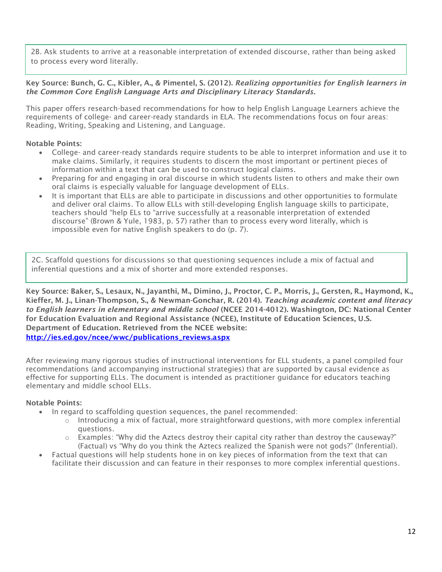2B. Ask students to arrive at a reasonable interpretation of extended discourse, rather than being asked to process every word literally.

#### Key Source: Bunch, G. C., Kibler, A., & Pimentel, S. (2012). *Realizing opportunities for English learners in the Common Core English Language Arts and Disciplinary Literacy Standards.*

This paper offers research-based recommendations for how to help English Language Learners achieve the requirements of college- and career-ready standards in ELA. The recommendations focus on four areas: Reading, Writing, Speaking and Listening, and Language.

### Notable Points:

- College- and career-ready standards require students to be able to interpret information and use it to make claims. Similarly, it requires students to discern the most important or pertinent pieces of information within a text that can be used to construct logical claims.
- Preparing for and engaging in oral discourse in which students listen to others and make their own oral claims is especially valuable for language development of ELLs.
- It is important that ELLs are able to participate in discussions and other opportunities to formulate and deliver oral claims. To allow ELLs with still-developing English language skills to participate, teachers should "help ELs to "arrive successfully at a reasonable interpretation of extended discourse" (Brown & Yule, 1983, p. 57) rather than to process every word literally, which is impossible even for native English speakers to do (p. 7).

2C. Scaffold questions for discussions so that questioning sequences include a mix of factual and inferential questions and a mix of shorter and more extended responses.

Key Source: Baker, S., Lesaux, N., Jayanthi, M., Dimino, J., Proctor, C. P., Morris, J., Gersten, R., Haymond, K., Kieffer, M. J., Linan-Thompson, S., & Newman-Gonchar, R. (2014). *Teaching academic content and literacy to English learners in elementary and middle school* (NCEE 2014-4012). Washington, DC: National Center for Education Evaluation and Regional Assistance (NCEE), Institute of Education Sciences, U.S. Department of Education. Retrieved from the NCEE website: [http://ies.ed.gov/ncee/wwc/publications\\_reviews.aspx](http://ies.ed.gov/ncee/wwc/publications_reviews.aspx)

After reviewing many rigorous studies of instructional interventions for ELL students, a panel compiled four recommendations (and accompanying instructional strategies) that are supported by causal evidence as effective for supporting ELLs. The document is intended as practitioner guidance for educators teaching elementary and middle school ELLs.

- In regard to scaffolding question sequences, the panel recommended:
	- $\circ$  Introducing a mix of factual, more straightforward questions, with more complex inferential questions.
	- $\circ$  Examples: "Why did the Aztecs destroy their capital city rather than destroy the causeway?" (Factual) vs "Why do you think the Aztecs realized the Spanish were not gods?" (Inferential).
- Factual questions will help students hone in on key pieces of information from the text that can facilitate their discussion and can feature in their responses to more complex inferential questions.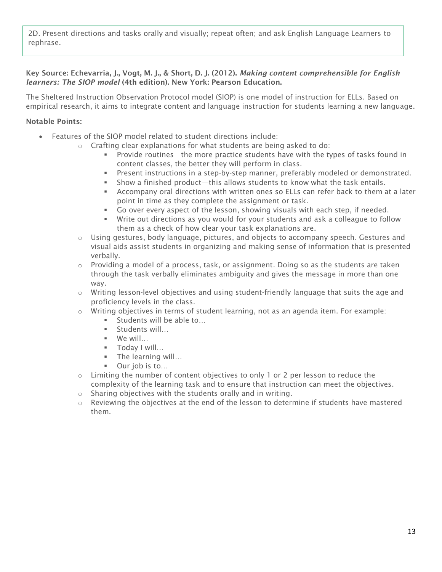2D. Present directions and tasks orally and visually; repeat often; and ask English Language Learners to rephrase.

### Key Source: Echevarria, J., Vogt, M. J., & Short, D. J. (2012). *Making content comprehensible for English learners: The SIOP model* (4th edition). New York: Pearson Education.

The Sheltered Instruction Observation Protocol model (SIOP) is one model of instruction for ELLs. Based on empirical research, it aims to integrate content and language instruction for students learning a new language.

- Features of the SIOP model related to student directions include:
	- $\circ$  Crafting clear explanations for what students are being asked to do:
		- **•** Provide routines—the more practice students have with the types of tasks found in content classes, the better they will perform in class.
		- **•** Present instructions in a step-by-step manner, preferably modeled or demonstrated.
		- **EXECT** Show a finished product—this allows students to know what the task entails.
		- **EXECOMPANY STARS IN A LATE 2018 WE ATTED STARS IN A LATE COMPONE 1** Accompany oral diter point in time as they complete the assignment or task.
		- Go over every aspect of the lesson, showing visuals with each step, if needed.
		- Write out directions as you would for your students and ask a colleague to follow them as a check of how clear your task explanations are.
	- o Using gestures, body language, pictures, and objects to accompany speech. Gestures and visual aids assist students in organizing and making sense of information that is presented verbally.
	- $\circ$  Providing a model of a process, task, or assignment. Doing so as the students are taken through the task verbally eliminates ambiguity and gives the message in more than one way.
	- $\circ$  Writing lesson-level objectives and using student-friendly language that suits the age and proficiency levels in the class.
	- $\circ$  Writing objectives in terms of student learning, not as an agenda item. For example:
		- Students will be able to...
		- Students will...
		- We will…
		- Today I will…
		- **•** The learning will...
		- Our job is to...
	- $\circ$  Limiting the number of content objectives to only 1 or 2 per lesson to reduce the complexity of the learning task and to ensure that instruction can meet the objectives.
	- o Sharing objectives with the students orally and in writing.
	- $\circ$  Reviewing the objectives at the end of the lesson to determine if students have mastered them.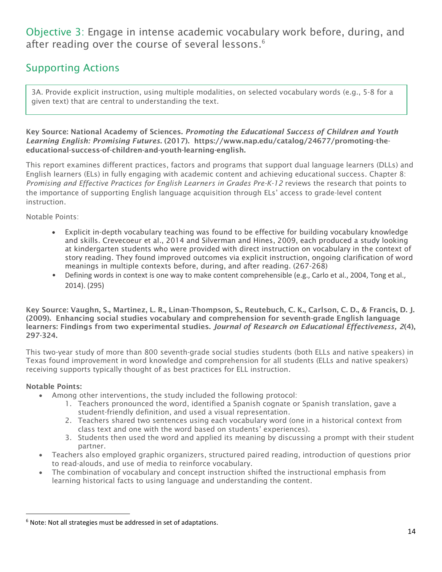Objective 3: Engage in intense academic vocabulary work before, during, and after reading over the course of several lessons.<sup>6</sup>

# Supporting Actions

3A. Provide explicit instruction, using multiple modalities, on selected vocabulary words (e.g., 5-8 for a given text) that are central to understanding the text.

Key Source: National Academy of Sciences. *Promoting the Educational Success of Children and Youth Learning English: Promising Futures*. (2017). https://www.nap.edu/catalog/24677/promoting-theeducational-success-of-children-and-youth-learning-english.

This report examines different practices, factors and programs that support dual language learners (DLLs) and English learners (ELs) in fully engaging with academic content and achieving educational success. Chapter 8: *Promising and Effective Practices for English Learners in Grades Pre-K-12* reviews the research that points to the importance of supporting English language acquisition through ELs' access to grade-level content instruction.

Notable Points:

- Explicit in-depth vocabulary teaching was found to be effective for building vocabulary knowledge and skills. Crevecoeur et al., 2014 and Silverman and Hines, 2009, each produced a study looking at kindergarten students who were provided with direct instruction on vocabulary in the context of story reading. They found improved outcomes via explicit instruction, ongoing clarification of word meanings in multiple contexts before, during, and after reading. (267-268)
- Defining words in context is one way to make content comprehensible (e.g., Carlo et al., 2004, Tong et al., 2014). (295)

Key Source: Vaughn, S., Martinez, L. R., Linan-Thompson, S., Reutebuch, C. K., Carlson, C. D., & Francis, D. J. (2009). Enhancing social studies vocabulary and comprehension for seventh-grade English language learners: Findings from two experimental studies. *Journal of Research on Educational Effectiveness, 2*(4), 297-324.

This two-year study of more than 800 seventh-grade social studies students (both ELLs and native speakers) in Texas found improvement in word knowledge and comprehension for all students (ELLs and native speakers) receiving supports typically thought of as best practices for ELL instruction.

# Notable Points:

l

- Among other interventions, the study included the following protocol:
	- 1. Teachers pronounced the word, identified a Spanish cognate or Spanish translation, gave a student-friendly definition, and used a visual representation.
	- 2. Teachers shared two sentences using each vocabulary word (one in a historical context from class text and one with the word based on students' experiences).
	- 3. Students then used the word and applied its meaning by discussing a prompt with their student partner.
- Teachers also employed graphic organizers, structured paired reading, introduction of questions prior to read-alouds, and use of media to reinforce vocabulary.
- The combination of vocabulary and concept instruction shifted the instructional emphasis from learning historical facts to using language and understanding the content.

 $6$  Note: Not all strategies must be addressed in set of adaptations.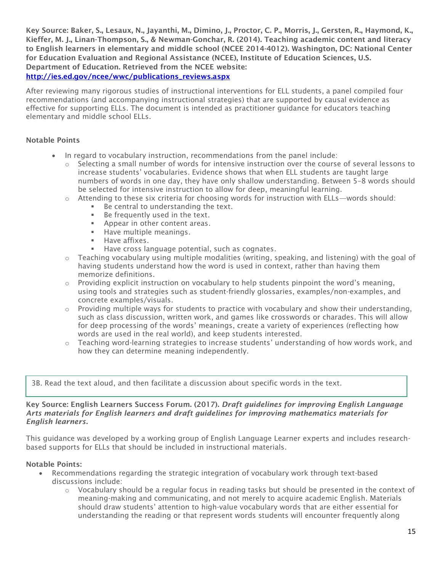Key Source: Baker, S., Lesaux, N., Jayanthi, M., Dimino, J., Proctor, C. P., Morris, J., Gersten, R., Haymond, K., Kieffer, M. J., Linan-Thompson, S., & Newman-Gonchar, R. (2014). Teaching academic content and literacy to English learners in elementary and middle school (NCEE 2014-4012). Washington, DC: National Center for Education Evaluation and Regional Assistance (NCEE), Institute of Education Sciences, U.S. Department of Education. Retrieved from the NCEE website: [http://ies.ed.gov/ncee/wwc/publications\\_reviews.aspx](http://ies.ed.gov/ncee/wwc/publications_reviews.aspx)

After reviewing many rigorous studies of instructional interventions for ELL students, a panel compiled four recommendations (and accompanying instructional strategies) that are supported by causal evidence as effective for supporting ELLs. The document is intended as practitioner guidance for educators teaching elementary and middle school ELLs.

## Notable Points

- In regard to vocabulary instruction, recommendations from the panel include:
	- $\circ$  Selecting a small number of words for intensive instruction over the course of several lessons to increase students' vocabularies. Evidence shows that when ELL students are taught large numbers of words in one day, they have only shallow understanding. Between 5–8 words should be selected for intensive instruction to allow for deep, meaningful learning.
	- $\circ$  Attending to these six criteria for choosing words for instruction with ELLs—words should:
		- Be central to understanding the text.
		- Be frequently used in the text.
		- Appear in other content areas.
		- **E** Have multiple meanings.
		- Have affixes.
		- Have cross language potential, such as cognates.
	- $\circ$  Teaching vocabulary using multiple modalities (writing, speaking, and listening) with the goal of having students understand how the word is used in context, rather than having them memorize definitions.
	- $\circ$  Providing explicit instruction on vocabulary to help students pinpoint the word's meaning, using tools and strategies such as student-friendly glossaries, examples/non-examples, and concrete examples/visuals.
	- $\circ$  Providing multiple ways for students to practice with vocabulary and show their understanding, such as class discussion, written work, and games like crosswords or charades. This will allow for deep processing of the words' meanings, create a variety of experiences (reflecting how words are used in the real world), and keep students interested.
	- $\circ$  Teaching word-learning strategies to increase students' understanding of how words work, and how they can determine meaning independently.

3B. Read the text aloud, and then facilitate a discussion about specific words in the text.

#### Key Source: English Learners Success Forum. (2017). *Draft guidelines for improving English Language Arts materials for English learners and draft guidelines for improving mathematics materials for English learners.*

This guidance was developed by a working group of English Language Learner experts and includes researchbased supports for ELLs that should be included in instructional materials.

- Recommendations regarding the strategic integration of vocabulary work through text-based discussions include:
	- $\circ$  Vocabulary should be a regular focus in reading tasks but should be presented in the context of meaning-making and communicating, and not merely to acquire academic English. Materials should draw students' attention to high-value vocabulary words that are either essential for understanding the reading or that represent words students will encounter frequently along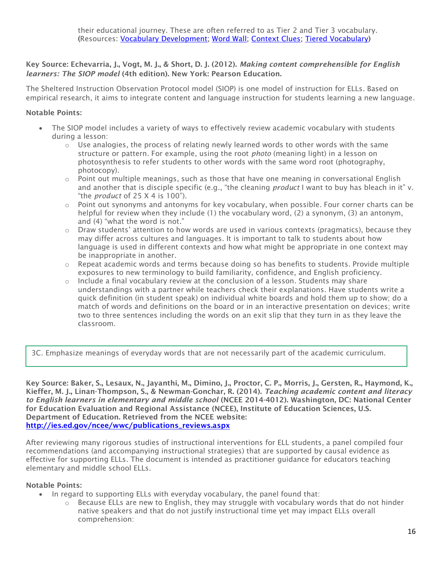# Key Source: Echevarria, J., Vogt, M. J., & Short, D. J. (2012). *Making content comprehensible for English learners: The SIOP model* (4th edition). New York: Pearson Education.

The Sheltered Instruction Observation Protocol model (SIOP) is one model of instruction for ELLs. Based on empirical research, it aims to integrate content and language instruction for students learning a new language.

# Notable Points:

- The SIOP model includes a variety of ways to effectively review academic vocabulary with students during a lesson:
	- $\circ$  Use analogies, the process of relating newly learned words to other words with the same structure or pattern. For example, using the root *photo* (meaning light) in a lesson on photosynthesis to refer students to other words with the same word root (photography, photocopy).
	- $\circ$  Point out multiple meanings, such as those that have one meaning in conversational English and another that is disciple specific (e.g., "the cleaning *product* I want to buy has bleach in it" v. "the *product* of 25 X 4 is 100").
	- $\circ$  Point out synonyms and antonyms for key vocabulary, when possible. Four corner charts can be helpful for review when they include (1) the vocabulary word, (2) a synonym, (3) an antonym, and (4) "what the word is not."
	- $\circ$  Draw students' attention to how words are used in various contexts (pragmatics), because they may differ across cultures and languages. It is important to talk to students about how language is used in different contexts and how what might be appropriate in one context may be inappropriate in another.
	- $\circ$  Repeat academic words and terms because doing so has benefits to students. Provide multiple exposures to new terminology to build familiarity, confidence, and English proficiency.
	- $\circ$  Include a final vocabulary review at the conclusion of a lesson. Students may share understandings with a partner while teachers check their explanations. Have students write a quick definition (in student speak) on individual white boards and hold them up to show; do a match of words and definitions on the board or in an interactive presentation on devices; write two to three sentences including the words on an exit slip that they turn in as they leave the classroom.

3C. Emphasize meanings of everyday words that are not necessarily part of the academic curriculum.

Key Source: Baker, S., Lesaux, N., Jayanthi, M., Dimino, J., Proctor, C. P., Morris, J., Gersten, R., Haymond, K., Kieffer, M. J., Linan-Thompson, S., & Newman-Gonchar, R. (2014). *Teaching academic content and literacy to English learners in elementary and middle school* (NCEE 2014-4012). Washington, DC: National Center for Education Evaluation and Regional Assistance (NCEE), Institute of Education Sciences, U.S. Department of Education. Retrieved from the NCEE website: [http://ies.ed.gov/ncee/wwc/publications\\_reviews.aspx](http://ies.ed.gov/ncee/wwc/publications_reviews.aspx)

After reviewing many rigorous studies of instructional interventions for ELL students, a panel compiled four recommendations (and accompanying instructional strategies) that are supported by causal evidence as effective for supporting ELLs. The document is intended as practitioner guidance for educators teaching elementary and middle school ELLs.

- In regard to supporting ELLs with everyday vocabulary, the panel found that:
	- $\circ$  Because ELLs are new to English, they may struggle with vocabulary words that do not hinder native speakers and that do not justify instructional time yet may impact ELLs overall comprehension: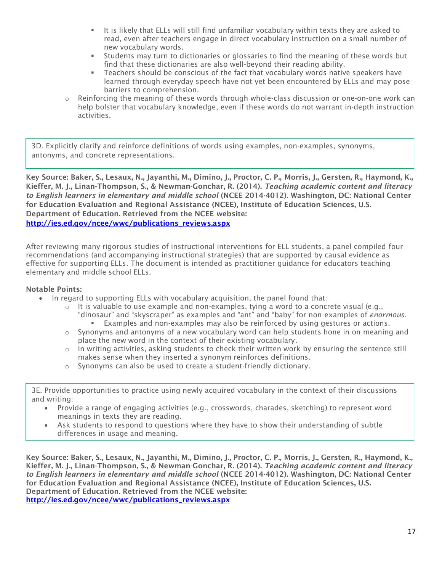- It is likely that ELLs will still find unfamiliar vocabulary within texts they are asked to read, even after teachers engage in direct vocabulary instruction on a small number of new vocabulary words.
- **EXECT** Students may turn to dictionaries or glossaries to find the meaning of these words but find that these dictionaries are also well-beyond their reading ability.
- **EXEC** Teachers should be conscious of the fact that vocabulary words native speakers have learned through everyday speech have not yet been encountered by ELLs and may pose barriers to comprehension.
- $\circ$  Reinforcing the meaning of these words through whole-class discussion or one-on-one work can help bolster that vocabulary knowledge, even if these words do not warrant in-depth instruction activities.

3D. Explicitly clarify and reinforce definitions of words using examples, non-examples, synonyms, antonyms, and concrete representations.

Key Source: Baker, S., Lesaux, N., Jayanthi, M., Dimino, J., Proctor, C. P., Morris, J., Gersten, R., Haymond, K., Kieffer, M. J., Linan-Thompson, S., & Newman-Gonchar, R. (2014). *Teaching academic content and literacy to English learners in elementary and middle school* (NCEE 2014-4012). Washington, DC: National Center for Education Evaluation and Regional Assistance (NCEE), Institute of Education Sciences, U.S. Department of Education. Retrieved from the NCEE website: [http://ies.ed.gov/ncee/wwc/publications\\_reviews.aspx](http://ies.ed.gov/ncee/wwc/publications_reviews.aspx)

After reviewing many rigorous studies of instructional interventions for ELL students, a panel compiled four recommendations (and accompanying instructional strategies) that are supported by causal evidence as effective for supporting ELLs. The document is intended as practitioner guidance for educators teaching elementary and middle school ELLs.

#### Notable Points:

- In regard to supporting ELLs with vocabulary acquisition, the panel found that:
	- $\circ$  It is valuable to use example and non-examples, tying a word to a concrete visual (e.g., "dinosaur" and "skyscraper" as examples and "ant" and "baby" for non-examples of *enormous.* ▪ Examples and non-examples may also be reinforced by using gestures or actions.
	- $\circ$  Synonyms and antonyms of a new vocabulary word can help students hone in on meaning and place the new word in the context of their existing vocabulary.
	- $\circ$  In writing activities, asking students to check their written work by ensuring the sentence still makes sense when they inserted a synonym reinforces definitions.
	- o Synonyms can also be used to create a student-friendly dictionary.

3E. Provide opportunities to practice using newly acquired vocabulary in the context of their discussions and writing:

- Provide a range of engaging activities (e.g., crosswords, charades, sketching) to represent word meanings in texts they are reading.
- Ask students to respond to questions where they have to show their understanding of subtle differences in usage and meaning.

Key Source: Baker, S., Lesaux, N., Jayanthi, M., Dimino, J., Proctor, C. P., Morris, J., Gersten, R., Haymond, K., Kieffer, M. J., Linan-Thompson, S., & Newman-Gonchar, R. (2014). *Teaching academic content and literacy to English learners in elementary and middle school* (NCEE 2014-4012). Washington, DC: National Center for Education Evaluation and Regional Assistance (NCEE), Institute of Education Sciences, U.S. Department of Education. Retrieved from the NCEE website: [http://ies.ed.gov/ncee/wwc/publications\\_reviews.aspx](http://ies.ed.gov/ncee/wwc/publications_reviews.aspx)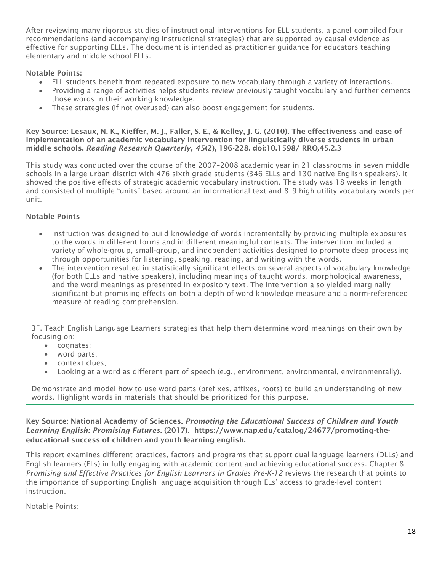After reviewing many rigorous studies of instructional interventions for ELL students, a panel compiled four recommendations (and accompanying instructional strategies) that are supported by causal evidence as effective for supporting ELLs. The document is intended as practitioner guidance for educators teaching elementary and middle school ELLs.

# Notable Points:

- ELL students benefit from repeated exposure to new vocabulary through a variety of interactions.
- Providing a range of activities helps students review previously taught vocabulary and further cements those words in their working knowledge.
- These strategies (if not overused) can also boost engagement for students.

Key Source: Lesaux, N. K., Kieffer, M. J., Faller, S. E., & Kelley, J. G. (2010). The effectiveness and ease of implementation of an academic vocabulary intervention for linguistically diverse students in urban middle schools. *Reading Research Quarterly, 45*(2), 196-228. doi:10.1598/ RRQ.45.2.3

This study was conducted over the course of the 2007–2008 academic year in 21 classrooms in seven middle schools in a large urban district with 476 sixth-grade students (346 ELLs and 130 native English speakers). It showed the positive effects of strategic academic vocabulary instruction. The study was 18 weeks in length and consisted of multiple "units" based around an informational text and 8–9 high-utility vocabulary words per unit.

# Notable Points

- Instruction was designed to build knowledge of words incrementally by providing multiple exposures to the words in different forms and in different meaningful contexts. The intervention included a variety of whole-group, small-group, and independent activities designed to promote deep processing through opportunities for listening, speaking, reading, and writing with the words.
- The intervention resulted in statistically significant effects on several aspects of vocabulary knowledge (for both ELLs and native speakers), including meanings of taught words, morphological awareness, and the word meanings as presented in expository text. The intervention also yielded marginally significant but promising effects on both a depth of word knowledge measure and a norm-referenced measure of reading comprehension.

3F. Teach English Language Learners strategies that help them determine word meanings on their own by focusing on:

- cognates;
- word parts;
- context clues;
- Looking at a word as different part of speech (e.g., environment, environmental, environmentally).

Demonstrate and model how to use word parts (prefixes, affixes, roots) to build an understanding of new words. Highlight words in materials that should be prioritized for this purpose.

Key Source: National Academy of Sciences. *Promoting the Educational Success of Children and Youth Learning English: Promising Futures*. (2017). https://www.nap.edu/catalog/24677/promoting-theeducational-success-of-children-and-youth-learning-english.

This report examines different practices, factors and programs that support dual language learners (DLLs) and English learners (ELs) in fully engaging with academic content and achieving educational success. Chapter 8: *Promising and Effective Practices for English Learners in Grades Pre-K-12* reviews the research that points to the importance of supporting English language acquisition through ELs' access to grade-level content instruction.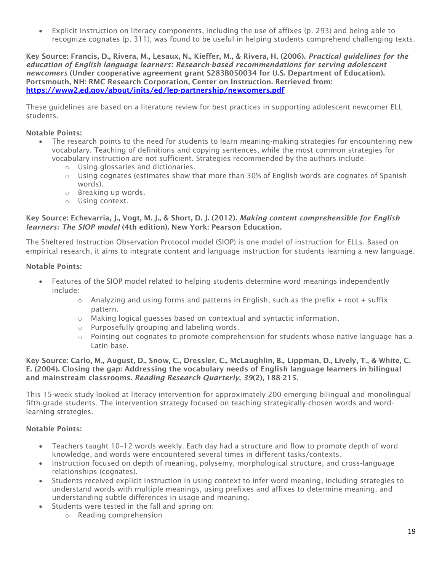• Explicit instruction on literacy components, including the use of affixes (p. 293) and being able to recognize cognates (p. 311), was found to be useful in helping students comprehend challenging texts.

Key Source: Francis, D., Rivera, M., Lesaux, N., Kieffer, M., & Rivera, H. (2006). *Practical guidelines for the education of English language learners: Research-based recommendations for serving adolescent newcomers* (Under cooperative agreement grant S283B050034 for U.S. Department of Education). Portsmouth, NH: RMC Research Corporation, Center on Instruction. Retrieved from: <https://www2.ed.gov/about/inits/ed/lep-partnership/newcomers.pdf>

These guidelines are based on a literature review for best practices in supporting adolescent newcomer ELL students.

### Notable Points:

- The research points to the need for students to learn meaning-making strategies for encountering new vocabulary. Teaching of definitions and copying sentences, while the most common strategies for vocabulary instruction are not sufficient. Strategies recommended by the authors include:
	- o Using glossaries and dictionaries.
	- $\circ$  Using cognates (estimates show that more than 30% of English words are cognates of Spanish words).
	- o Breaking up words.
	- o Using context.

#### Key Source: Echevarria, J., Vogt, M. J., & Short, D. J. (2012). *Making content comprehensible for English learners: The SIOP model* (4th edition). New York: Pearson Education.

The Sheltered Instruction Observation Protocol model (SIOP) is one model of instruction for ELLs. Based on empirical research, it aims to integrate content and language instruction for students learning a new language.

#### Notable Points:

- Features of the SIOP model related to helping students determine word meanings independently include:
	- $\circ$  Analyzing and using forms and patterns in English, such as the prefix + root + suffix pattern.
	- o Making logical guesses based on contextual and syntactic information.
	- o Purposefully grouping and labeling words.
	- $\circ$  Pointing out cognates to promote comprehension for students whose native language has a Latin base.

#### Key Source: Carlo, M., August, D., Snow, C., Dressler, C., McLaughlin, B., Lippman, D., Lively, T., & White, C. E. (2004). Closing the gap: Addressing the vocabulary needs of English language learners in bilingual and mainstream classrooms. *Reading Research Quarterly*, *39*(2), 188-215.

This 15-week study looked at literacy intervention for approximately 200 emerging bilingual and monolingual fifth-grade students. The intervention strategy focused on teaching strategically-chosen words and wordlearning strategies.

- Teachers taught 10–12 words weekly. Each day had a structure and flow to promote depth of word knowledge, and words were encountered several times in different tasks/contexts.
- Instruction focused on depth of meaning, polysemy, morphological structure, and cross-language relationships (cognates).
- Students received explicit instruction in using context to infer word meaning, including strategies to understand words with multiple meanings, using prefixes and affixes to determine meaning, and understanding subtle differences in usage and meaning.
- Students were tested in the fall and spring on:
	- o Reading comprehension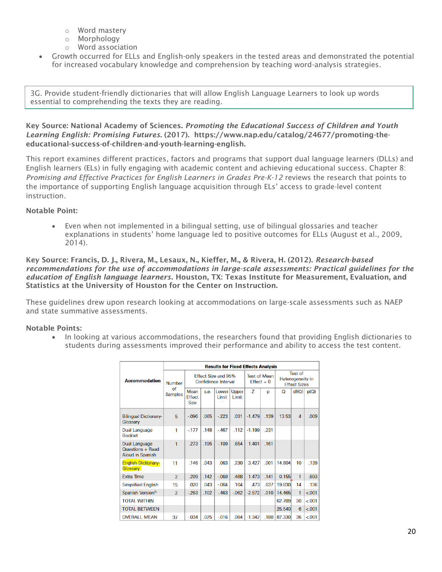- o Word mastery
- o Morphology
- o Word association
- Growth occurred for ELLs and English-only speakers in the tested areas and demonstrated the potential for increased vocabulary knowledge and comprehension by teaching word-analysis strategies.

3G. Provide student-friendly dictionaries that will allow English Language Learners to look up words essential to comprehending the texts they are reading.

Key Source: National Academy of Sciences. *Promoting the Educational Success of Children and Youth Learning English: Promising Futures*. (2017). https://www.nap.edu/catalog/24677/promoting-theeducational-success-of-children-and-youth-learning-english.

This report examines different practices, factors and programs that support dual language learners (DLLs) and English learners (ELs) in fully engaging with academic content and achieving educational success. Chapter 8: *Promising and Effective Practices for English Learners in Grades Pre-K-12* reviews the research that points to the importance of supporting English language acquisition through ELs' access to grade-level content instruction.

# Notable Point:

• Even when not implemented in a bilingual setting, use of bilingual glossaries and teacher explanations in students' home language led to positive outcomes for ELLs (August et al., 2009, 2014).

Key Source: Francis, D. J., Rivera, M., Lesaux, N., Kieffer, M., & Rivera, H. (2012). *Research-based recommendations for the use of accommodations in large-scale assessments: Practical guidelines for the education of English language learners.* Houston, TX: Texas Institute for Measurement, Evaluation, and Statistics at the University of Houston for the Center on Instruction.

These guidelines drew upon research looking at accommodations on large-scale assessments such as NAEP and state summative assessments.

# Notable Points:

• In looking at various accommodations, the researchers found that providing English dictionaries to students during assessments improved their performance and ability to access the test content.

|                                                       | <b>Results for Fixed Effects Analysis</b> |                                            |      |                             |                                      |          |                                                           |        |                |         |
|-------------------------------------------------------|-------------------------------------------|--------------------------------------------|------|-----------------------------|--------------------------------------|----------|-----------------------------------------------------------|--------|----------------|---------|
| <b>Accommodation</b>                                  | <b>Number</b><br>Ωf<br><b>Samples</b>     | Effect Size and 95%<br>Confidence Interval |      |                             | <b>Test of Mean</b><br>$F$ ffect = 0 |          | <b>Test of</b><br>Heterogeneity in<br><b>Fffect Sizes</b> |        |                |         |
|                                                       |                                           | Mean<br><b>Effect</b><br><b>Size</b>       | s.e. | Lower <sup>1</sup><br>Limit | Upper<br>Limit                       | Z        | p                                                         | Q      | df(Q)          | p(Q)    |
| <b>Bilingual Dictionary-</b><br>Glossary              | 5                                         | $-0.96$                                    | .065 | $-223$                      | .031                                 | $-1.479$ | .139                                                      | 13.53  | $\overline{4}$ | .009    |
| Dual Language<br><b>Booklet</b>                       | 1                                         | $-177$                                     | .148 | $-467$                      | .112                                 | $-1.199$ | 231                                                       |        |                |         |
| Dual Language<br>Questions + Read<br>Aloud in Spanish | 1                                         | .273                                       | .195 | $-109$                      | .654                                 | 1.401    | .161                                                      |        |                |         |
| <b>English Dictionary-</b><br>Glossary                | 11                                        | 146                                        | 043  | 063                         | .230                                 | 3.427    | 001                                                       | 14 804 | 10             | .139    |
| <b>Extra Time</b>                                     | $\overline{2}$                            | .209                                       | .142 | $-069$                      | .488                                 | 1.473    | .141                                                      | 0.155  | 1              | .693    |
| <b>Simplified English</b>                             | 15                                        | .020                                       | .043 | $-064$                      | .104                                 | .473     | .637                                                      | 19,830 | 14             | .136    |
| Spanish Versionh                                      | $\overline{2}$                            | $-263$                                     | .102 | $-463$                      | $-062$                               | $-2.572$ | .010                                                      | 14.465 | 1              | $-.001$ |
| <b>TOTAL WITHIN</b>                                   |                                           |                                            |      |                             |                                      |          |                                                           | 62.789 | 30             | < 0.001 |
| <b>TOTAL BETWEEN</b>                                  |                                           |                                            |      |                             |                                      |          |                                                           | 25.540 | 6              | $-.001$ |
| <b>OVERALL MEAN</b>                                   | 37                                        | $-.034$                                    | .025 | $-0.016$                    | .084                                 | $-1.342$ | .180                                                      | 87.330 | 36             | $-.001$ |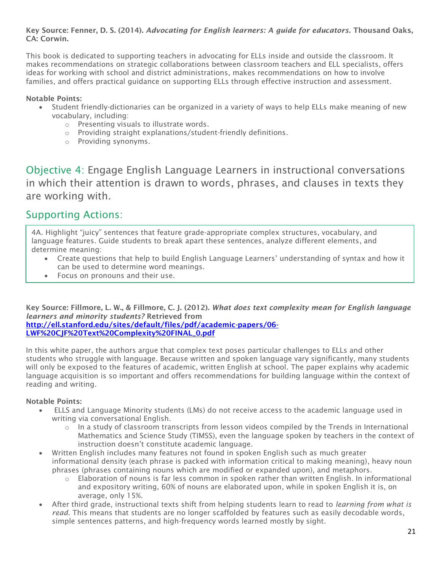## Key Source: Fenner, D. S. (2014). *Advocating for English learners: A guide for educators.* Thousand Oaks, CA: Corwin.

This book is dedicated to supporting teachers in advocating for ELLs inside and outside the classroom. It makes recommendations on strategic collaborations between classroom teachers and ELL specialists, offers ideas for working with school and district administrations, makes recommendations on how to involve families, and offers practical guidance on supporting ELLs through effective instruction and assessment.

# Notable Points:

- Student friendly-dictionaries can be organized in a variety of ways to help ELLs make meaning of new vocabulary, including:
	- o Presenting visuals to illustrate words.
	- o Providing straight explanations/student-friendly definitions.
	- o Providing synonyms.

Objective 4: Engage English Language Learners in instructional conversations in which their attention is drawn to words, phrases, and clauses in texts they are working with.

# Supporting Actions:

4A. Highlight "juicy" sentences that feature grade-appropriate complex structures, vocabulary, and language features. Guide students to break apart these sentences, analyze different elements, and determine meaning:

- Create questions that help to build English Language Learners' understanding of syntax and how it can be used to determine word meanings.
- Focus on pronouns and their use.

Key Source: Fillmore, L. W., & Fillmore, C. J. (2012). *What does text complexity mean for English language learners and minority students?* Retrieved from [http://ell.stanford.edu/sites/default/files/pdf/academic-papers/06-](http://ell.stanford.edu/sites/default/files/pdf/academic-papers/06-LWF%20CJF%20Text%20Complexity%20FINAL_0.pdf)

[LWF%20CJF%20Text%20Complexity%20FINAL\\_0.pdf](http://ell.stanford.edu/sites/default/files/pdf/academic-papers/06-LWF%20CJF%20Text%20Complexity%20FINAL_0.pdf)

In this white paper, the authors argue that complex text poses particular challenges to ELLs and other students who struggle with language. Because written and spoken language vary significantly, many students will only be exposed to the features of academic, written English at school. The paper explains why academic language acquisition is so important and offers recommendations for building language within the context of reading and writing.

- ELLS and Language Minority students (LMs) do not receive access to the academic language used in writing via conversational English.
	- o In a study of classroom transcripts from lesson videos compiled by the Trends in International Mathematics and Science Study (TIMSS), even the language spoken by teachers in the context of instruction doesn't constitute academic language.
- Written English includes many features not found in spoken English such as much greater informational density (each phrase is packed with information critical to making meaning), heavy noun phrases (phrases containing nouns which are modified or expanded upon), and metaphors.
	- $\circ$  Elaboration of nouns is far less common in spoken rather than written English. In informational and expository writing, 60% of nouns are elaborated upon, while in spoken English it is, on average, only 15%.
- After third grade, instructional texts shift from helping students learn to read to *learning from what is read.* This means that students are no longer scaffolded by features such as easily decodable words, simple sentences patterns, and high-frequency words learned mostly by sight.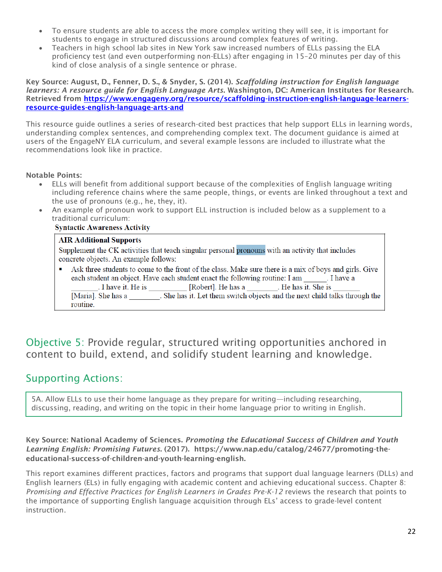- To ensure students are able to access the more complex writing they will see, it is important for students to engage in structured discussions around complex features of writing.
- Teachers in high school lab sites in New York saw increased numbers of ELLs passing the ELA proficiency test (and even outperforming non-ELLs) after engaging in 15–20 minutes per day of this kind of close analysis of a single sentence or phrase.

Key Source: August, D., Fenner, D. S., & Snyder, S. (2014). *Scaffolding instruction for English language learners: A resource guide for English Language Arts*. Washington, DC: American Institutes for Research. Retrieved from [https://www.engageny.org/resource/scaffolding-instruction-english-language-learners](https://www.engageny.org/resource/scaffolding-instruction-english-language-learners-resource-guides-english-language-arts-and)[resource-guides-english-language-arts-and](https://www.engageny.org/resource/scaffolding-instruction-english-language-learners-resource-guides-english-language-arts-and)

This resource guide outlines a series of research-cited best practices that help support ELLs in learning words, understanding complex sentences, and comprehending complex text. The document guidance is aimed at users of the EngageNY ELA curriculum, and several example lessons are included to illustrate what the recommendations look like in practice.

### Notable Points:

- ELLs will benefit from additional support because of the complexities of English language writing including reference chains where the same people, things, or events are linked throughout a text and the use of pronouns (e.g., he, they, it).
- An example of pronoun work to support ELL instruction is included below as a supplement to a traditional curriculum:

#### **Syntactic Awareness Activity**

#### **AIR Additional Supports**

Supplement the CK activities that teach singular personal pronouns with an activity that includes concrete objects. An example follows:

Ask three students to come to the front of the class. Make sure there is a mix of boys and girls. Give each student an object. Have each student enact the following routine: I am [1]. I have a I have it. He is [Robert]. He has a \_\_\_\_\_\_\_. He has it. She is [Maria]. She has a She has it. Let them switch objects and the next child talks through the routine.

Objective 5: Provide regular, structured writing opportunities anchored in content to build, extend, and solidify student learning and knowledge.

# Supporting Actions:

5A. Allow ELLs to use their home language as they prepare for writing—including researching, discussing, reading, and writing on the topic in their home language prior to writing in English.

Key Source: National Academy of Sciences. *Promoting the Educational Success of Children and Youth Learning English: Promising Futures*. (2017). https://www.nap.edu/catalog/24677/promoting-theeducational-success-of-children-and-youth-learning-english.

This report examines different practices, factors and programs that support dual language learners (DLLs) and English learners (ELs) in fully engaging with academic content and achieving educational success. Chapter 8: *Promising and Effective Practices for English Learners in Grades Pre-K-12* reviews the research that points to the importance of supporting English language acquisition through ELs' access to grade-level content instruction.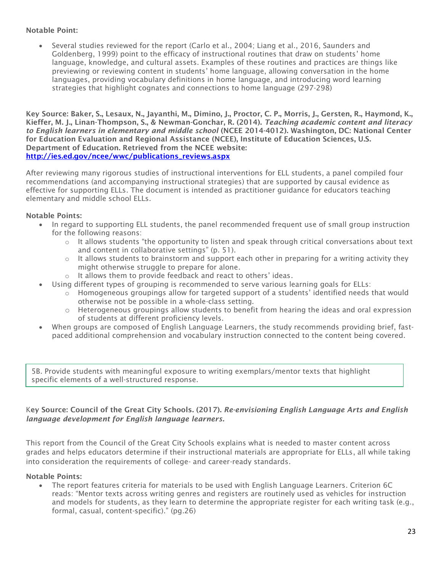### Notable Point:

• Several studies reviewed for the report (Carlo et al., 2004; Liang et al., 2016, Saunders and Goldenberg, 1999) point to the efficacy of instructional routines that draw on students' home language, knowledge, and cultural assets. Examples of these routines and practices are things like previewing or reviewing content in students' home language, allowing conversation in the home languages, providing vocabulary definitions in home language, and introducing word learning strategies that highlight cognates and connections to home language (297-298)

Key Source: Baker, S., Lesaux, N., Jayanthi, M., Dimino, J., Proctor, C. P., Morris, J., Gersten, R., Haymond, K., Kieffer, M. J., Linan-Thompson, S., & Newman-Gonchar, R. (2014). *Teaching academic content and literacy to English learners in elementary and middle school* (NCEE 2014-4012). Washington, DC: National Center for Education Evaluation and Regional Assistance (NCEE), Institute of Education Sciences, U.S. Department of Education. Retrieved from the NCEE website: [http://ies.ed.gov/ncee/wwc/publications\\_reviews.aspx](http://ies.ed.gov/ncee/wwc/publications_reviews.aspx)

After reviewing many rigorous studies of instructional interventions for ELL students, a panel compiled four recommendations (and accompanying instructional strategies) that are supported by causal evidence as effective for supporting ELLs. The document is intended as practitioner guidance for educators teaching elementary and middle school ELLs.

### Notable Points:

- In regard to supporting ELL students, the panel recommended frequent use of small group instruction for the following reasons:
	- $\circ$  It allows students "the opportunity to listen and speak through critical conversations about text and content in collaborative settings" (p. 51).
	- o It allows students to brainstorm and support each other in preparing for a writing activity they might otherwise struggle to prepare for alone.
	- o It allows them to provide feedback and react to others' ideas.
- Using different types of grouping is recommended to serve various learning goals for ELLs:
	- $\circ$  Homogeneous groupings allow for targeted support of a students' identified needs that would otherwise not be possible in a whole-class setting.
	- $\circ$  Heterogeneous groupings allow students to benefit from hearing the ideas and oral expression of students at different proficiency levels.
- When groups are composed of English Language Learners, the study recommends providing brief, fastpaced additional comprehension and vocabulary instruction connected to the content being covered.

5B. Provide students with meaningful exposure to writing exemplars/mentor texts that highlight specific elements of a well-structured response.

# Key Source: Council of the Great City Schools. (2017). *Re-envisioning English Language Arts and English language development for English language learners.*

This report from the Council of the Great City Schools explains what is needed to master content across grades and helps educators determine if their instructional materials are appropriate for ELLs, all while taking into consideration the requirements of college- and career-ready standards.

#### Notable Points:

• The report features criteria for materials to be used with English Language Learners. Criterion 6C reads: "Mentor texts across writing genres and registers are routinely used as vehicles for instruction and models for students, as they learn to determine the appropriate register for each writing task (e.g., formal, casual, content-specific)." (pg.26)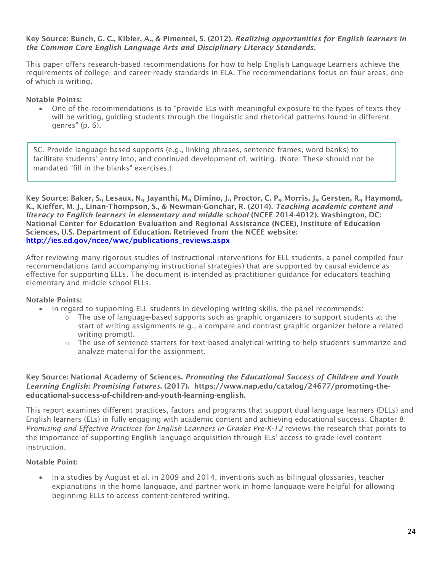#### Key Source: Bunch, G. C., Kibler, A., & Pimentel, S. (2012). *Realizing opportunities for English learners in the Common Core English Language Arts and Disciplinary Literacy Standards.*

This paper offers research-based recommendations for how to help English Language Learners achieve the requirements of college- and career-ready standards in ELA. The recommendations focus on four areas, one of which is writing.

### Notable Points:

• One of the recommendations is to "provide ELs with meaningful exposure to the types of texts they will be writing, guiding students through the linguistic and rhetorical patterns found in different genres" (p. 6).

5C. Provide language-based supports (e.g., linking phrases, sentence frames, word banks) to facilitate students' entry into, and continued development of, writing. (Note: These should not be mandated "fill in the blanks" exercises.)

Key Source: Baker, S., Lesaux, N., Jayanthi, M., Dimino, J., Proctor, C. P., Morris, J., Gersten, R., Haymond, K., Kieffer, M. J., Linan-Thompson, S., & Newman-Gonchar, R. (2014). *Teaching academic content and literacy to English learners in elementary and middle school* (NCEE 2014-4012). Washington, DC: National Center for Education Evaluation and Regional Assistance (NCEE), Institute of Education Sciences, U.S. Department of Education. Retrieved from the NCEE website: [http://ies.ed.gov/ncee/wwc/publications\\_reviews.aspx](http://ies.ed.gov/ncee/wwc/publications_reviews.aspx)

After reviewing many rigorous studies of instructional interventions for ELL students, a panel compiled four recommendations (and accompanying instructional strategies) that are supported by causal evidence as effective for supporting ELLs. The document is intended as practitioner guidance for educators teaching elementary and middle school ELLs.

#### Notable Points:

- In regard to supporting ELL students in developing writing skills, the panel recommends:
	- $\circ$  The use of language-based supports such as graphic organizers to support students at the start of writing assignments (e.g., a compare and contrast graphic organizer before a related writing prompt).
	- $\circ$  The use of sentence starters for text-based analytical writing to help students summarize and analyze material for the assignment.

### Key Source: National Academy of Sciences. *Promoting the Educational Success of Children and Youth Learning English: Promising Futures*. (2017). https://www.nap.edu/catalog/24677/promoting-theeducational-success-of-children-and-youth-learning-english.

This report examines different practices, factors and programs that support dual language learners (DLLs) and English learners (ELs) in fully engaging with academic content and achieving educational success. Chapter 8: *Promising and Effective Practices for English Learners in Grades Pre-K-12* reviews the research that points to the importance of supporting English language acquisition through ELs' access to grade-level content instruction.

# Notable Point:

• In a studies by August et al. in 2009 and 2014, inventions such as bilingual glossaries, teacher explanations in the home language, and partner work in home language were helpful for allowing beginning ELLs to access content-centered writing.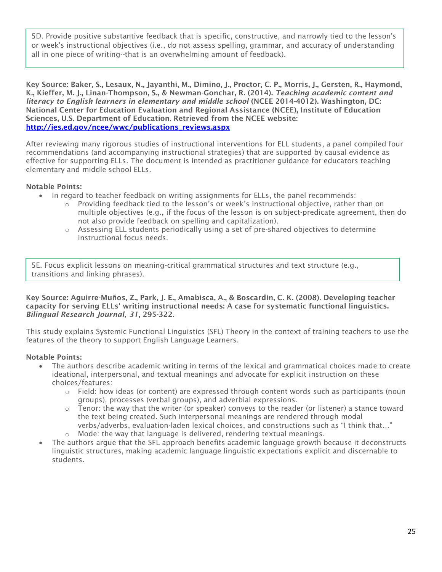5D. Provide positive substantive feedback that is specific, constructive, and narrowly tied to the lesson's or week's instructional objectives (i.e., do not assess spelling, grammar, and accuracy of understanding all in one piece of writing--that is an overwhelming amount of feedback).

Key Source: Baker, S., Lesaux, N., Jayanthi, M., Dimino, J., Proctor, C. P., Morris, J., Gersten, R., Haymond, K., Kieffer, M. J., Linan-Thompson, S., & Newman-Gonchar, R. (2014). *Teaching academic content and literacy to English learners in elementary and middle school* (NCEE 2014-4012). Washington, DC: National Center for Education Evaluation and Regional Assistance (NCEE), Institute of Education Sciences, U.S. Department of Education. Retrieved from the NCEE website: [http://ies.ed.gov/ncee/wwc/publications\\_reviews.aspx](http://ies.ed.gov/ncee/wwc/publications_reviews.aspx)

After reviewing many rigorous studies of instructional interventions for ELL students, a panel compiled four recommendations (and accompanying instructional strategies) that are supported by causal evidence as effective for supporting ELLs. The document is intended as practitioner guidance for educators teaching elementary and middle school ELLs.

# Notable Points:

- In regard to teacher feedback on writing assignments for ELLs, the panel recommends:
	- $\circ$  Providing feedback tied to the lesson's or week's instructional objective, rather than on multiple objectives (e.g., if the focus of the lesson is on subject-predicate agreement, then do not also provide feedback on spelling and capitalization).
	- o Assessing ELL students periodically using a set of pre-shared objectives to determine instructional focus needs.

5E. Focus explicit lessons on meaning-critical grammatical structures and text structure (e.g., transitions and linking phrases).

Key Source: Aguirre-Muños, Z., Park, J. E., Amabisca, A., & Boscardin, C. K. (2008). Developing teacher capacity for serving ELLs' writing instructional needs: A case for systematic functional linguistics. *Bilingual Research Journal, 31*, 295-322.

This study explains Systemic Functional Linguistics (SFL) Theory in the context of training teachers to use the features of the theory to support English Language Learners.

- The authors describe academic writing in terms of the lexical and grammatical choices made to create ideational, interpersonal, and textual meanings and advocate for explicit instruction on these choices/features:
	- $\circ$  Field: how ideas (or content) are expressed through content words such as participants (noun groups), processes (verbal groups), and adverbial expressions.
	- $\circ$  Tenor: the way that the writer (or speaker) conveys to the reader (or listener) a stance toward the text being created. Such interpersonal meanings are rendered through modal verbs/adverbs, evaluation-laden lexical choices, and constructions such as "I think that…"
	- $\circ$  Mode: the way that language is delivered, rendering textual meanings.
- The authors argue that the SFL approach benefits academic language growth because it deconstructs linguistic structures, making academic language linguistic expectations explicit and discernable to students.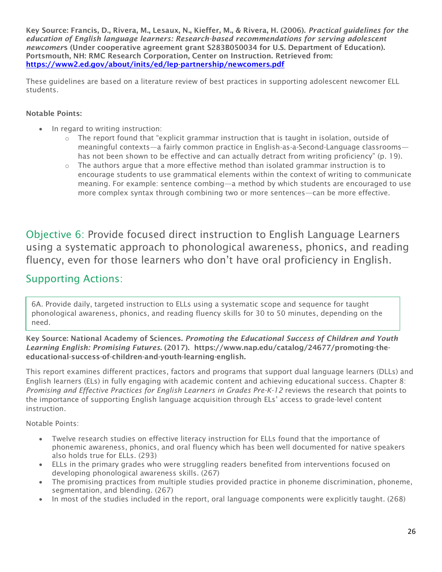Key Source: Francis, D., Rivera, M., Lesaux, N., Kieffer, M., & Rivera, H. (2006). *Practical guidelines for the education of English language learners: Research-based recommendations for serving adolescent newcomer*s (Under cooperative agreement grant S283B050034 for U.S. Department of Education). Portsmouth, NH: RMC Research Corporation, Center on Instruction. Retrieved from: <https://www2.ed.gov/about/inits/ed/lep-partnership/newcomers.pdf>

These guidelines are based on a literature review of best practices in supporting adolescent newcomer ELL students.

# Notable Points:

- In regard to writing instruction:
	- $\circ$  The report found that "explicit grammar instruction that is taught in isolation, outside of meaningful contexts—a fairly common practice in English-as-a-Second-Language classrooms has not been shown to be effective and can actually detract from writing proficiency" (p. 19).
	- $\circ$  The authors argue that a more effective method than isolated grammar instruction is to encourage students to use grammatical elements within the context of writing to communicate meaning. For example: sentence combing—a method by which students are encouraged to use more complex syntax through combining two or more sentences—can be more effective.

Objective 6: Provide focused direct instruction to English Language Learners using a systematic approach to phonological awareness, phonics, and reading fluency, even for those learners who don't have oral proficiency in English.

# Supporting Actions:

6A. Provide daily, targeted instruction to ELLs using a systematic scope and sequence for taught phonological awareness, phonics, and reading fluency skills for 30 to 50 minutes, depending on the need.

Key Source: National Academy of Sciences. *Promoting the Educational Success of Children and Youth Learning English: Promising Futures*. (2017). https://www.nap.edu/catalog/24677/promoting-theeducational-success-of-children-and-youth-learning-english.

This report examines different practices, factors and programs that support dual language learners (DLLs) and English learners (ELs) in fully engaging with academic content and achieving educational success. Chapter 8: *Promising and Effective Practices for English Learners in Grades Pre-K-12* reviews the research that points to the importance of supporting English language acquisition through ELs' access to grade-level content instruction.

- Twelve research studies on effective literacy instruction for ELLs found that the importance of phonemic awareness, phonics, and oral fluency which has been well documented for native speakers also holds true for ELLs. (293)
- ELLs in the primary grades who were struggling readers benefited from interventions focused on developing phonological awareness skills. (267)
- The promising practices from multiple studies provided practice in phoneme discrimination, phoneme, segmentation, and blending. (267)
- In most of the studies included in the report, oral language components were explicitly taught. (268)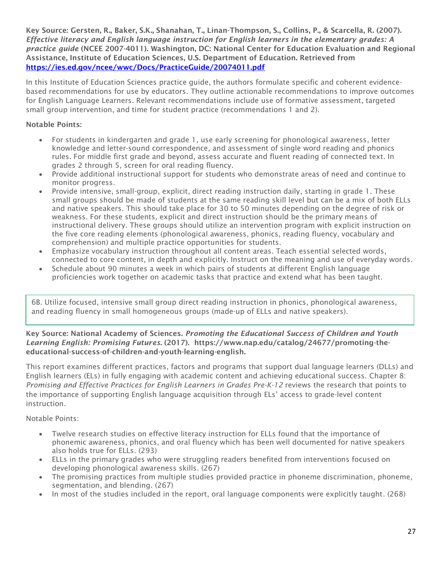Key Source: Gersten, R., Baker, S.K., Shanahan, T., Linan-Thompson, S., Collins, P., & Scarcella, R. (2007). *Effective literacy and English language instruction for English learners in the elementary grades: A practice guide* (NCEE 2007-4011). Washington, DC: National Center for Education Evaluation and Regional Assistance, Institute of Education Sciences, U.S. Department of Education. Retrieved from <https://ies.ed.gov/ncee/wwc/Docs/PracticeGuide/20074011.pdf>

In this Institute of Education Sciences practice guide, the authors formulate specific and coherent evidencebased recommendations for use by educators. They outline actionable recommendations to improve outcomes for English Language Learners. Relevant recommendations include use of formative assessment, targeted small group intervention, and time for student practice (recommendations 1 and 2).

# Notable Points:

- For students in kindergarten and grade 1, use early screening for phonological awareness, letter knowledge and letter-sound correspondence, and assessment of single word reading and phonics rules. For middle first grade and beyond, assess accurate and fluent reading of connected text. In grades 2 through 5, screen for oral reading fluency.
- Provide additional instructional support for students who demonstrate areas of need and continue to monitor progress.
- Provide intensive, small-group, explicit, direct reading instruction daily, starting in grade 1. These small groups should be made of students at the same reading skill level but can be a mix of both ELLs and native speakers. This should take place for 30 to 50 minutes depending on the degree of risk or weakness. For these students, explicit and direct instruction should be the primary means of instructional delivery. These groups should utilize an intervention program with explicit instruction on the five core reading elements (phonological awareness, phonics, reading fluency, vocabulary and comprehension) and multiple practice opportunities for students.
- Emphasize vocabulary instruction throughout all content areas. Teach essential selected words, connected to core content, in depth and explicitly. Instruct on the meaning and use of everyday words.
- Schedule about 90 minutes a week in which pairs of students at different English language proficiencies work together on academic tasks that practice and extend what has been taught.

6B. Utilize focused, intensive small group direct reading instruction in phonics, phonological awareness, and reading fluency in small homogeneous groups (made-up of ELLs and native speakers).

### Key Source: National Academy of Sciences. *Promoting the Educational Success of Children and Youth Learning English: Promising Futures*. (2017). https://www.nap.edu/catalog/24677/promoting-theeducational-success-of-children-and-youth-learning-english.

This report examines different practices, factors and programs that support dual language learners (DLLs) and English learners (ELs) in fully engaging with academic content and achieving educational success. Chapter 8: *Promising and Effective Practices for English Learners in Grades Pre-K-12* reviews the research that points to the importance of supporting English language acquisition through ELs' access to grade-level content instruction.

- Twelve research studies on effective literacy instruction for ELLs found that the importance of phonemic awareness, phonics, and oral fluency which has been well documented for native speakers also holds true for ELLs. (293)
- ELLs in the primary grades who were struggling readers benefited from interventions focused on developing phonological awareness skills. (267)
- The promising practices from multiple studies provided practice in phoneme discrimination, phoneme, segmentation, and blending. (267)
- In most of the studies included in the report, oral language components were explicitly taught. (268)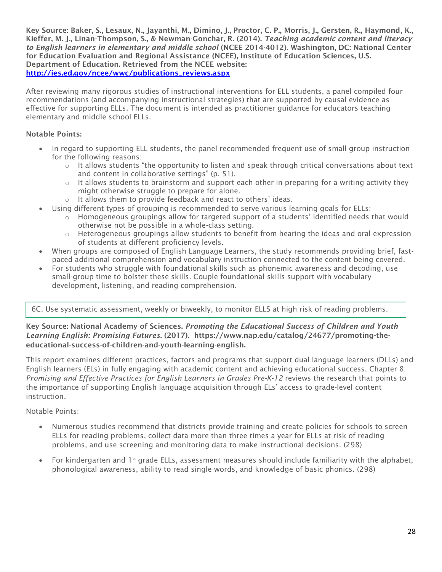Key Source: Baker, S., Lesaux, N., Jayanthi, M., Dimino, J., Proctor, C. P., Morris, J., Gersten, R., Haymond, K., Kieffer, M. J., Linan-Thompson, S., & Newman-Gonchar, R. (2014). *Teaching academic content and literacy to English learners in elementary and middle school* (NCEE 2014-4012). Washington, DC: National Center for Education Evaluation and Regional Assistance (NCEE), Institute of Education Sciences, U.S. Department of Education. Retrieved from the NCEE website: [http://ies.ed.gov/ncee/wwc/publications\\_reviews.aspx](http://ies.ed.gov/ncee/wwc/publications_reviews.aspx)

After reviewing many rigorous studies of instructional interventions for ELL students, a panel compiled four recommendations (and accompanying instructional strategies) that are supported by causal evidence as effective for supporting ELLs. The document is intended as practitioner guidance for educators teaching elementary and middle school ELLs.

# Notable Points:

- In regard to supporting ELL students, the panel recommended frequent use of small group instruction for the following reasons:
	- $\circ$  It allows students "the opportunity to listen and speak through critical conversations about text and content in collaborative settings" (p. 51).
	- $\circ$  It allows students to brainstorm and support each other in preparing for a writing activity they might otherwise struggle to prepare for alone.
	- o It allows them to provide feedback and react to others' ideas.
- Using different types of grouping is recommended to serve various learning goals for ELLs:
	- $\circ$  Homogeneous groupings allow for targeted support of a students' identified needs that would otherwise not be possible in a whole-class setting.
	- o Heterogeneous groupings allow students to benefit from hearing the ideas and oral expression of students at different proficiency levels.
- When groups are composed of English Language Learners, the study recommends providing brief, fastpaced additional comprehension and vocabulary instruction connected to the content being covered.
- For students who struggle with foundational skills such as phonemic awareness and decoding, use small-group time to bolster these skills. Couple foundational skills support with vocabulary development, listening, and reading comprehension.

# 6C. Use systematic assessment, weekly or biweekly, to monitor ELLS at high risk of reading problems.

### Key Source: National Academy of Sciences. *Promoting the Educational Success of Children and Youth Learning English: Promising Futures*. (2017). https://www.nap.edu/catalog/24677/promoting-theeducational-success-of-children-and-youth-learning-english.

This report examines different practices, factors and programs that support dual language learners (DLLs) and English learners (ELs) in fully engaging with academic content and achieving educational success. Chapter 8: *Promising and Effective Practices for English Learners in Grades Pre-K-12* reviews the research that points to the importance of supporting English language acquisition through ELs' access to grade-level content instruction.

- Numerous studies recommend that districts provide training and create policies for schools to screen ELLs for reading problems, collect data more than three times a year for ELLs at risk of reading problems, and use screening and monitoring data to make instructional decisions. (298)
- For kindergarten and 1<sup>st</sup> grade ELLs, assessment measures should include familiarity with the alphabet, phonological awareness, ability to read single words, and knowledge of basic phonics. (298)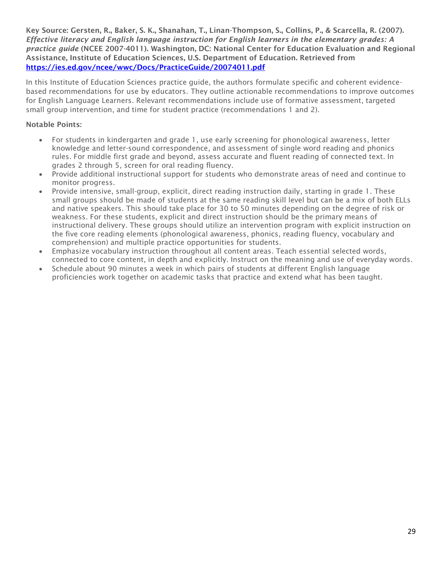Key Source: Gersten, R., Baker, S. K., Shanahan, T., Linan-Thompson, S., Collins, P., & Scarcella, R. (2007). *Effective literacy and English language instruction for English learners in the elementary grades: A practice guide* (NCEE 2007-4011). Washington, DC: National Center for Education Evaluation and Regional Assistance, Institute of Education Sciences, U.S. Department of Education. Retrieved from <https://ies.ed.gov/ncee/wwc/Docs/PracticeGuide/20074011.pdf>

In this Institute of Education Sciences practice guide, the authors formulate specific and coherent evidencebased recommendations for use by educators. They outline actionable recommendations to improve outcomes for English Language Learners. Relevant recommendations include use of formative assessment, targeted small group intervention, and time for student practice (recommendations 1 and 2).

- For students in kindergarten and grade 1, use early screening for phonological awareness, letter knowledge and letter-sound correspondence, and assessment of single word reading and phonics rules. For middle first grade and beyond, assess accurate and fluent reading of connected text. In grades 2 through 5, screen for oral reading fluency.
- Provide additional instructional support for students who demonstrate areas of need and continue to monitor progress.
- Provide intensive, small-group, explicit, direct reading instruction daily, starting in grade 1. These small groups should be made of students at the same reading skill level but can be a mix of both ELLs and native speakers. This should take place for 30 to 50 minutes depending on the degree of risk or weakness. For these students, explicit and direct instruction should be the primary means of instructional delivery. These groups should utilize an intervention program with explicit instruction on the five core reading elements (phonological awareness, phonics, reading fluency, vocabulary and comprehension) and multiple practice opportunities for students.
- Emphasize vocabulary instruction throughout all content areas. Teach essential selected words, connected to core content, in depth and explicitly. Instruct on the meaning and use of everyday words.
- Schedule about 90 minutes a week in which pairs of students at different English language proficiencies work together on academic tasks that practice and extend what has been taught.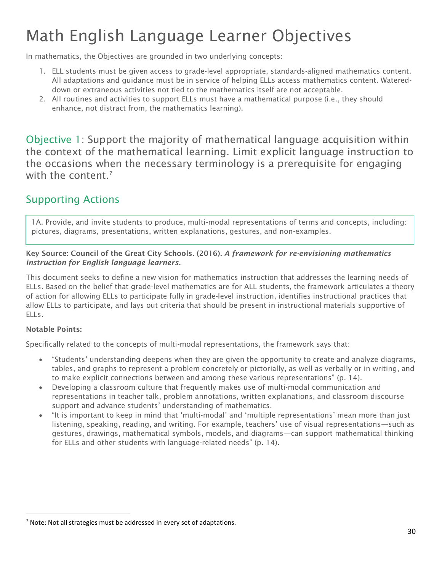# Math English Language Learner Objectives

In mathematics, the Objectives are grounded in two underlying concepts:

- 1. ELL students must be given access to grade-level appropriate, standards-aligned mathematics content. All adaptations and guidance must be in service of helping ELLs access mathematics content. Watereddown or extraneous activities not tied to the mathematics itself are not acceptable.
- 2. All routines and activities to support ELLs must have a mathematical purpose (i.e., they should enhance, not distract from, the mathematics learning).

Objective 1: Support the majority of mathematical language acquisition within the context of the mathematical learning. Limit explicit language instruction to the occasions when the necessary terminology is a prerequisite for engaging with the content. $<sup>7</sup>$ </sup>

# Supporting Actions

1A. Provide, and invite students to produce, multi-modal representations of terms and concepts, including: pictures, diagrams, presentations, written explanations, gestures, and non-examples.

# Key Source: Council of the Great City Schools. (2016). *A framework for re-envisioning mathematics instruction for English language learners.*

This document seeks to define a new vision for mathematics instruction that addresses the learning needs of ELLs. Based on the belief that grade-level mathematics are for ALL students, the framework articulates a theory of action for allowing ELLs to participate fully in grade-level instruction, identifies instructional practices that allow ELLs to participate, and lays out criteria that should be present in instructional materials supportive of ELLs.

# Notable Points:

l

Specifically related to the concepts of multi-modal representations, the framework says that:

- "Students' understanding deepens when they are given the opportunity to create and analyze diagrams, tables, and graphs to represent a problem concretely or pictorially, as well as verbally or in writing, and to make explicit connections between and among these various representations" (p. 14).
- Developing a classroom culture that frequently makes use of multi-modal communication and representations in teacher talk, problem annotations, written explanations, and classroom discourse support and advance students' understanding of mathematics.
- "It is important to keep in mind that 'multi-modal' and 'multiple representations' mean more than just listening, speaking, reading, and writing. For example, teachers' use of visual representations—such as gestures, drawings, mathematical symbols, models, and diagrams—can support mathematical thinking for ELLs and other students with language-related needs" (p. 14).

 $<sup>7</sup>$  Note: Not all strategies must be addressed in every set of adaptations.</sup>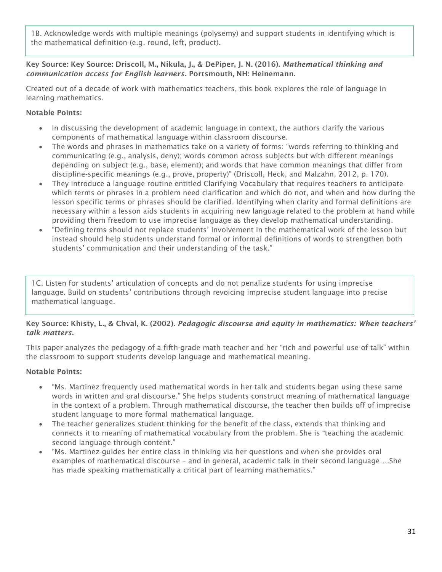1B. Acknowledge words with multiple meanings (polysemy) and support students in identifying which is the mathematical definition (e.g. round, left, product).

# Key Source: Key Source: Driscoll, M., Nikula, J., & DePiper, J. N. (2016). *Mathematical thinking and communication access for English learners.* Portsmouth, NH: Heinemann.

Created out of a decade of work with mathematics teachers, this book explores the role of language in learning mathematics.

# Notable Points:

- In discussing the development of academic language in context, the authors clarify the various components of mathematical language within classroom discourse.
- The words and phrases in mathematics take on a variety of forms: "words referring to thinking and communicating (e.g., analysis, deny); words common across subjects but with different meanings depending on subject (e.g., base, element); and words that have common meanings that differ from discipline-specific meanings (e.g., prove, property)" (Driscoll, Heck, and Malzahn, 2012, p. 170).
- They introduce a language routine entitled Clarifying Vocabulary that requires teachers to anticipate which terms or phrases in a problem need clarification and which do not, and when and how during the lesson specific terms or phrases should be clarified. Identifying when clarity and formal definitions are necessary within a lesson aids students in acquiring new language related to the problem at hand while providing them freedom to use imprecise language as they develop mathematical understanding.
- "Defining terms should not replace students' involvement in the mathematical work of the lesson but instead should help students understand formal or informal definitions of words to strengthen both students' communication and their understanding of the task."

1C. Listen for students' articulation of concepts and do not penalize students for using imprecise language. Build on students' contributions through revoicing imprecise student language into precise mathematical language.

# Key Source: Khisty, L., & Chval, K. (2002). *Pedagogic discourse and equity in mathematics: When teachers' talk matters.*

This paper analyzes the pedagogy of a fifth-grade math teacher and her "rich and powerful use of talk" within the classroom to support students develop language and mathematical meaning.

- "Ms. Martinez frequently used mathematical words in her talk and students began using these same words in written and oral discourse." She helps students construct meaning of mathematical language in the context of a problem. Through mathematical discourse, the teacher then builds off of imprecise student language to more formal mathematical language.
- The teacher generalizes student thinking for the benefit of the class, extends that thinking and connects it to meaning of mathematical vocabulary from the problem. She is "teaching the academic second language through content."
- "Ms. Martinez guides her entire class in thinking via her questions and when she provides oral examples of mathematical discourse – and in general, academic talk in their second language….She has made speaking mathematically a critical part of learning mathematics."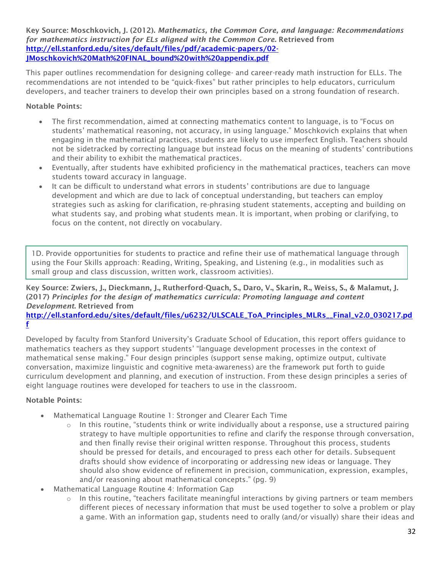Key Source: Moschkovich, J. (2012). *Mathematics, the Common Core, and language: Recommendations for mathematics instruction for ELs aligned with the Common Core*. Retrieved from [http://ell.stanford.edu/sites/default/files/pdf/academic-papers/02-](http://ell.stanford.edu/sites/default/files/pdf/academic-papers/02-JMoschkovich%20Math%20FINAL_bound%20with%20appendix.pdf) [JMoschkovich%20Math%20FINAL\\_bound%20with%20appendix.pdf](http://ell.stanford.edu/sites/default/files/pdf/academic-papers/02-JMoschkovich%20Math%20FINAL_bound%20with%20appendix.pdf)

This paper outlines recommendation for designing college- and career-ready math instruction for ELLs. The recommendations are not intended to be "quick-fixes" but rather principles to help educators, curriculum developers, and teacher trainers to develop their own principles based on a strong foundation of research.

# Notable Points:

- The first recommendation, aimed at connecting mathematics content to language, is to "Focus on students' mathematical reasoning, not accuracy, in using language." Moschkovich explains that when engaging in the mathematical practices, students are likely to use imperfect English. Teachers should not be sidetracked by correcting language but instead focus on the meaning of students' contributions and their ability to exhibit the mathematical practices.
- Eventually, after students have exhibited proficiency in the mathematical practices, teachers can move students toward accuracy in language.
- It can be difficult to understand what errors in students' contributions are due to language development and which are due to lack of conceptual understanding, but teachers can employ strategies such as asking for clarification, re-phrasing student statements, accepting and building on what students say, and probing what students mean. It is important, when probing or clarifying, to focus on the content, not directly on vocabulary.

1D. Provide opportunities for students to practice and refine their use of mathematical language through using the Four Skills approach: Reading, Writing, Speaking, and Listening (e.g., in modalities such as small group and class discussion, written work, classroom activities).

# Key Source: Zwiers, J., Dieckmann, J., Rutherford-Quach, S., Daro, V., Skarin, R., Weiss, S., & Malamut, J. (2017) *Principles for the design of mathematics curricula: Promoting language and content Development*. Retrieved from

[http://ell.stanford.edu/sites/default/files/u6232/ULSCALE\\_ToA\\_Principles\\_MLRs\\_\\_Final\\_v2.0\\_030217.pd](http://ell.stanford.edu/sites/default/files/u6232/ULSCALE_ToA_Principles_MLRs__Final_v2.0_030217.pdf) [f](http://ell.stanford.edu/sites/default/files/u6232/ULSCALE_ToA_Principles_MLRs__Final_v2.0_030217.pdf)

Developed by faculty from Stanford University's Graduate School of Education, this report offers guidance to mathematics teachers as they support students' "language development processes in the context of mathematical sense making." Four design principles (support sense making, optimize output, cultivate conversation, maximize linguistic and cognitive meta-awareness) are the framework put forth to guide curriculum development and planning, and execution of instruction. From these design principles a series of eight language routines were developed for teachers to use in the classroom.

- Mathematical Language Routine 1: Stronger and Clearer Each Time
	- $\circ$  In this routine, "students think or write individually about a response, use a structured pairing strategy to have multiple opportunities to refine and clarify the response through conversation, and then finally revise their original written response. Throughout this process, students should be pressed for details, and encouraged to press each other for details. Subsequent drafts should show evidence of incorporating or addressing new ideas or language. They should also show evidence of refinement in precision, communication, expression, examples, and/or reasoning about mathematical concepts." (pg. 9)
- Mathematical Language Routine 4: Information Gap
	- $\circ$  In this routine, "teachers facilitate meaningful interactions by giving partners or team members different pieces of necessary information that must be used together to solve a problem or play a game. With an information gap, students need to orally (and/or visually) share their ideas and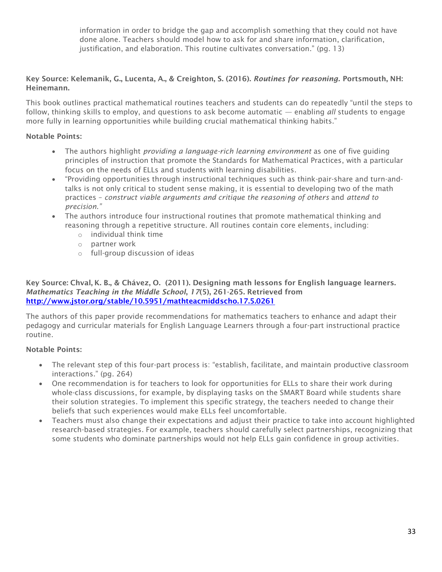information in order to bridge the gap and accomplish something that they could not have done alone. Teachers should model how to ask for and share information, clarification, justification, and elaboration. This routine cultivates conversation." (pg. 13)

# Key Source: Kelemanik, G., Lucenta, A., & Creighton, S. (2016). *Routines for reasoning.* Portsmouth, NH: Heinemann.

This book outlines practical mathematical routines teachers and students can do repeatedly "until the steps to follow, thinking skills to employ, and questions to ask become automatic — enabling *all* students to engage more fully in learning opportunities while building crucial mathematical thinking habits."

# Notable Points:

- The authors highlight *providing a language-rich learning environment* as one of five guiding principles of instruction that promote the Standards for Mathematical Practices, with a particular focus on the needs of ELLs and students with learning disabilities.
- "Providing opportunities through instructional techniques such as think-pair-share and turn-andtalks is not only critical to student sense making, it is essential to developing two of the math practices – *construct viable arguments and critique the reasoning of others* and *attend to precision."*
- The authors introduce four instructional routines that promote mathematical thinking and reasoning through a repetitive structure. All routines contain core elements, including:
	- o individual think time
	- o partner work
	- o full-group discussion of ideas

Key Source: Chval, K. B., & Chávez, O. (2011). Designing math lessons for English language learners. *Mathematics Teaching in the Middle School*, *17*(5), 261-265. Retrieved from <http://www.jstor.org/stable/10.5951/mathteacmiddscho.17.5.0261>

The authors of this paper provide recommendations for mathematics teachers to enhance and adapt their pedagogy and curricular materials for English Language Learners through a four-part instructional practice routine.

- The relevant step of this four-part process is: "establish, facilitate, and maintain productive classroom interactions." (pg. 264)
- One recommendation is for teachers to look for opportunities for ELLs to share their work during whole-class discussions, for example, by displaying tasks on the SMART Board while students share their solution strategies. To implement this specific strategy, the teachers needed to change their beliefs that such experiences would make ELLs feel uncomfortable.
- Teachers must also change their expectations and adjust their practice to take into account highlighted research-based strategies. For example, teachers should carefully select partnerships, recognizing that some students who dominate partnerships would not help ELLs gain confidence in group activities.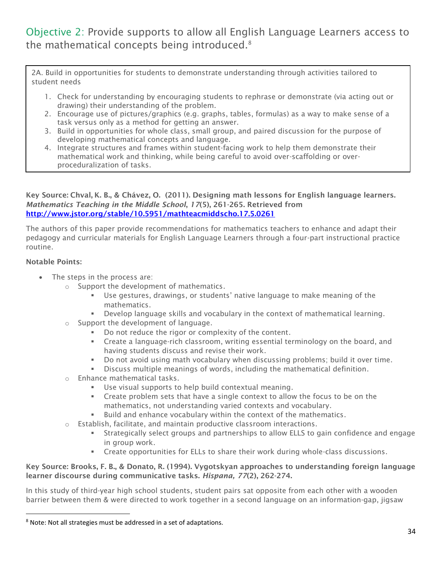# Objective 2: Provide supports to allow all English Language Learners access to the mathematical concepts being introduced.<sup>8</sup>

2A. Build in opportunities for students to demonstrate understanding through activities tailored to student needs

- 1. Check for understanding by encouraging students to rephrase or demonstrate (via acting out or drawing) their understanding of the problem.
- 2. Encourage use of pictures/graphics (e.g. graphs, tables, formulas) as a way to make sense of a task versus only as a method for getting an answer.
- 3. Build in opportunities for whole class, small group, and paired discussion for the purpose of developing mathematical concepts and language.
- 4. Integrate structures and frames within student-facing work to help them demonstrate their mathematical work and thinking, while being careful to avoid over-scaffolding or overproceduralization of tasks.

# Key Source: Chval, K. B., & Chávez, O. (2011). Designing math lessons for English language learners. *Mathematics Teaching in the Middle School*, *17*(5), 261-265. Retrieved from <http://www.jstor.org/stable/10.5951/mathteacmiddscho.17.5.0261>

The authors of this paper provide recommendations for mathematics teachers to enhance and adapt their pedagogy and curricular materials for English Language Learners through a four-part instructional practice routine.

# Notable Points:

l

- The steps in the process are:
	- o Support the development of mathematics.
		- Use gestures, drawings, or students' native language to make meaning of the mathematics.
		- Develop language skills and vocabulary in the context of mathematical learning.
	- o Support the development of language.
		- Do not reduce the rigor or complexity of the content.
		- Create a language-rich classroom, writing essential terminology on the board, and having students discuss and revise their work.
		- Do not avoid using math vocabulary when discussing problems; build it over time.
		- Discuss multiple meanings of words, including the mathematical definition.
	- o Enhance mathematical tasks.
		- Use visual supports to help build contextual meaning.
		- **•** Create problem sets that have a single context to allow the focus to be on the mathematics, not understanding varied contexts and vocabulary.
		- Build and enhance vocabulary within the context of the mathematics.
	- $\circ$  Establish, facilitate, and maintain productive classroom interactions.
		- Strategically select groups and partnerships to allow ELLS to gain confidence and engage in group work.
		- Create opportunities for ELLs to share their work during whole-class discussions.

# Key Source: Brooks, F. B., & Donato, R. (1994). Vygotskyan approaches to understanding foreign language learner discourse during communicative tasks. *Hispana, 77*(2), 262-274.

In this study of third-year high school students, student pairs sat opposite from each other with a wooden barrier between them & were directed to work together in a second language on an information-gap, jigsaw

<sup>8</sup> Note: Not all strategies must be addressed in a set of adaptations.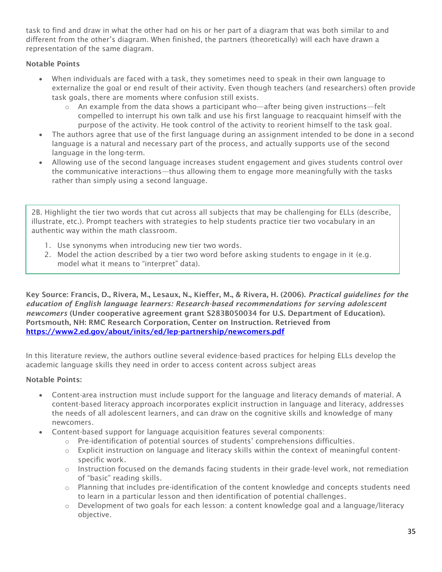task to find and draw in what the other had on his or her part of a diagram that was both similar to and different from the other's diagram. When finished, the partners (theoretically) will each have drawn a representation of the same diagram.

# Notable Points

- When individuals are faced with a task, they sometimes need to speak in their own language to externalize the goal or end result of their activity. Even though teachers (and researchers) often provide task goals, there are moments where confusion still exists.
	- o An example from the data shows a participant who—after being given instructions—felt compelled to interrupt his own talk and use his first language to reacquaint himself with the purpose of the activity. He took control of the activity to reorient himself to the task goal.
- The authors agree that use of the first language during an assignment intended to be done in a second language is a natural and necessary part of the process, and actually supports use of the second language in the long-term.
- Allowing use of the second language increases student engagement and gives students control over the communicative interactions—thus allowing them to engage more meaningfully with the tasks rather than simply using a second language.

2B. Highlight the tier two words that cut across all subjects that may be challenging for ELLs (describe, illustrate, etc.). Prompt teachers with strategies to help students practice tier two vocabulary in an authentic way within the math classroom.

- 1. Use synonyms when introducing new tier two words.
- 2. Model the action described by a tier two word before asking students to engage in it (e.g. model what it means to "interpret" data).

Key Source: Francis, D., Rivera, M., Lesaux, N., Kieffer, M., & Rivera, H. (2006). *Practical guidelines for the education of English language learners: Research-based recommendations for serving adolescent newcomers* (Under cooperative agreement grant S283B050034 for U.S. Department of Education). Portsmouth, NH: RMC Research Corporation, Center on Instruction. Retrieved from <https://www2.ed.gov/about/inits/ed/lep-partnership/newcomers.pdf>

In this literature review, the authors outline several evidence-based practices for helping ELLs develop the academic language skills they need in order to access content across subject areas

- Content-area instruction must include support for the language and literacy demands of material. A content-based literacy approach incorporates explicit instruction in language and literacy, addresses the needs of all adolescent learners, and can draw on the cognitive skills and knowledge of many newcomers.
- Content-based support for language acquisition features several components:
	- o Pre-identification of potential sources of students' comprehensions difficulties.
	- $\circ$  Explicit instruction on language and literacy skills within the context of meaningful contentspecific work.
	- o Instruction focused on the demands facing students in their grade-level work, not remediation of "basic" reading skills.
	- o Planning that includes pre-identification of the content knowledge and concepts students need to learn in a particular lesson and then identification of potential challenges.
	- $\circ$  Development of two goals for each lesson: a content knowledge goal and a language/literacy objective.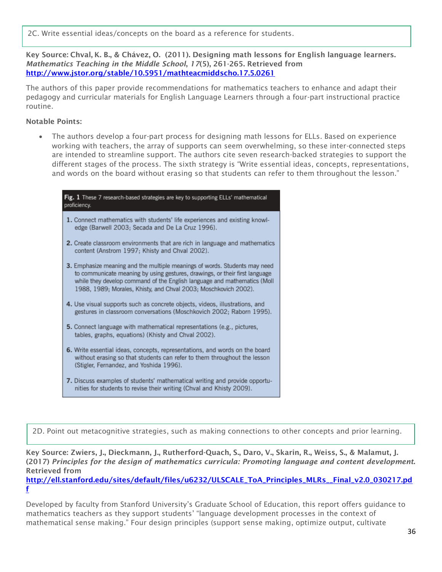2C. Write essential ideas/concepts on the board as a reference for students.

Key Source: Chval, K. B., & Chávez, O. (2011). Designing math lessons for English language learners. *Mathematics Teaching in the Middle School*, *17*(5), 261-265. Retrieved from <http://www.jstor.org/stable/10.5951/mathteacmiddscho.17.5.0261>

The authors of this paper provide recommendations for mathematics teachers to enhance and adapt their pedagogy and curricular materials for English Language Learners through a four-part instructional practice routine.

# Notable Points:

• The authors develop a four-part process for designing math lessons for ELLs. Based on experience working with teachers, the array of supports can seem overwhelming, so these inter-connected steps are intended to streamline support. The authors cite seven research-backed strategies to support the different stages of the process. The sixth strategy is "Write essential ideas, concepts, representations, and words on the board without erasing so that students can refer to them throughout the lesson."



2D. Point out metacognitive strategies, such as making connections to other concepts and prior learning.

Key Source: Zwiers, J., Dieckmann, J., Rutherford-Quach, S., Daro, V., Skarin, R., Weiss, S., & Malamut, J. (2017) *Principles for the design of mathematics curricula: Promoting language and content development*. Retrieved from

[http://ell.stanford.edu/sites/default/files/u6232/ULSCALE\\_ToA\\_Principles\\_MLRs\\_\\_Final\\_v2.0\\_030217.pd](http://ell.stanford.edu/sites/default/files/u6232/ULSCALE_ToA_Principles_MLRs__Final_v2.0_030217.pdf) [f](http://ell.stanford.edu/sites/default/files/u6232/ULSCALE_ToA_Principles_MLRs__Final_v2.0_030217.pdf)

Developed by faculty from Stanford University's Graduate School of Education, this report offers guidance to mathematics teachers as they support students' "language development processes in the context of mathematical sense making." Four design principles (support sense making, optimize output, cultivate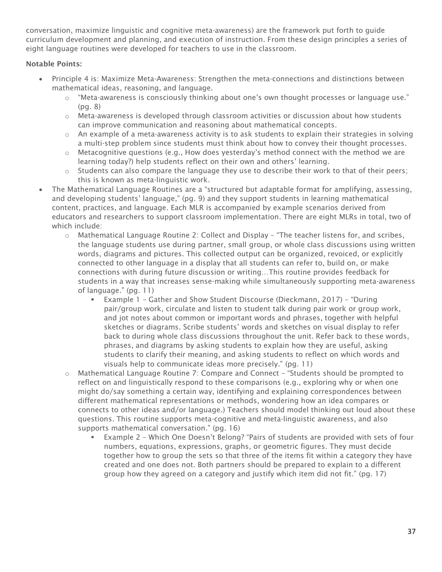conversation, maximize linguistic and cognitive meta-awareness) are the framework put forth to guide curriculum development and planning, and execution of instruction. From these design principles a series of eight language routines were developed for teachers to use in the classroom.

- Principle 4 is: Maximize Meta-Awareness: Strengthen the meta-connections and distinctions between mathematical ideas, reasoning, and language.
	- o "Meta-awareness is consciously thinking about one's own thought processes or language use." (pg. 8)
	- o Meta-awareness is developed through classroom activities or discussion about how students can improve communication and reasoning about mathematical concepts.
	- $\circ$  An example of a meta-awareness activity is to ask students to explain their strategies in solving a multi-step problem since students must think about how to convey their thought processes.
	- $\circ$  Metacognitive questions (e.g., How does yesterday's method connect with the method we are learning today?) help students reflect on their own and others' learning.
	- o Students can also compare the language they use to describe their work to that of their peers; this is known as meta-linguistic work.
- The Mathematical Language Routines are a "structured but adaptable format for amplifying, assessing, and developing students' language," (pg. 9) and they support students in learning mathematical content, practices, and language. Each MLR is accompanied by example scenarios derived from educators and researchers to support classroom implementation. There are eight MLRs in total, two of which include:
	- $\circ$  Mathematical Language Routine 2: Collect and Display "The teacher listens for, and scribes, the language students use during partner, small group, or whole class discussions using written words, diagrams and pictures. This collected output can be organized, revoiced, or explicitly connected to other language in a display that all students can refer to, build on, or make connections with during future discussion or writing…This routine provides feedback for students in a way that increases sense-making while simultaneously supporting meta-awareness of language." (pg. 11)
		- Example 1 Gather and Show Student Discourse (Dieckmann, 2017) "During pair/group work, circulate and listen to student talk during pair work or group work, and jot notes about common or important words and phrases, together with helpful sketches or diagrams. Scribe students' words and sketches on visual display to refer back to during whole class discussions throughout the unit. Refer back to these words, phrases, and diagrams by asking students to explain how they are useful, asking students to clarify their meaning, and asking students to reflect on which words and visuals help to communicate ideas more precisely." (pg. 11)
	- o Mathematical Language Routine 7: Compare and Connect "Students should be prompted to reflect on and linguistically respond to these comparisons (e.g., exploring why or when one might do/say something a certain way, identifying and explaining correspondences between different mathematical representations or methods, wondering how an idea compares or connects to other ideas and/or language.) Teachers should model thinking out loud about these questions. This routine supports meta-cognitive and meta-linguistic awareness, and also supports mathematical conversation." (pg. 16)
		- **Example 2 Which One Doesn't Belong? "Pairs of students are provided with sets of four** numbers, equations, expressions, graphs, or geometric figures. They must decide together how to group the sets so that three of the items fit within a category they have created and one does not. Both partners should be prepared to explain to a different group how they agreed on a category and justify which item did not fit." (pg. 17)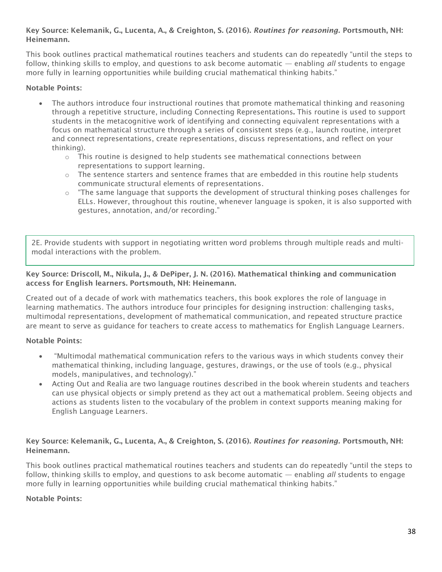# Key Source: Kelemanik, G., Lucenta, A., & Creighton, S. (2016). *Routines for reasoning.* Portsmouth, NH: Heinemann.

This book outlines practical mathematical routines teachers and students can do repeatedly "until the steps to follow, thinking skills to employ, and questions to ask become automatic — enabling *all* students to engage more fully in learning opportunities while building crucial mathematical thinking habits."

# Notable Points:

- The authors introduce four instructional routines that promote mathematical thinking and reasoning through a repetitive structure, including Connecting Representations. This routine is used to support students in the metacognitive work of identifying and connecting equivalent representations with a focus on mathematical structure through a series of consistent steps (e.g., launch routine, interpret and connect representations, create representations, discuss representations, and reflect on your thinking).
	- $\circ$  This routine is designed to help students see mathematical connections between representations to support learning.
	- $\circ$  The sentence starters and sentence frames that are embedded in this routine help students communicate structural elements of representations.
	- $\circ$  "The same language that supports the development of structural thinking poses challenges for ELLs. However, throughout this routine, whenever language is spoken, it is also supported with gestures, annotation, and/or recording."

2E. Provide students with support in negotiating written word problems through multiple reads and multimodal interactions with the problem.

# Key Source: Driscoll, M., Nikula, J., & DePiper, J. N. (2016). Mathematical thinking and communication access for English learners. Portsmouth, NH: Heinemann.

Created out of a decade of work with mathematics teachers, this book explores the role of language in learning mathematics. The authors introduce four principles for designing instruction: challenging tasks, multimodal representations, development of mathematical communication, and repeated structure practice are meant to serve as guidance for teachers to create access to mathematics for English Language Learners.

# Notable Points:

- "Multimodal mathematical communication refers to the various ways in which students convey their mathematical thinking, including language, gestures, drawings, or the use of tools (e.g., physical models, manipulatives, and technology)."
- Acting Out and Realia are two language routines described in the book wherein students and teachers can use physical objects or simply pretend as they act out a mathematical problem. Seeing objects and actions as students listen to the vocabulary of the problem in context supports meaning making for English Language Learners.

# Key Source: Kelemanik, G., Lucenta, A., & Creighton, S. (2016). *Routines for reasoning.* Portsmouth, NH: Heinemann.

This book outlines practical mathematical routines teachers and students can do repeatedly "until the steps to follow, thinking skills to employ, and questions to ask become automatic — enabling *all* students to engage more fully in learning opportunities while building crucial mathematical thinking habits."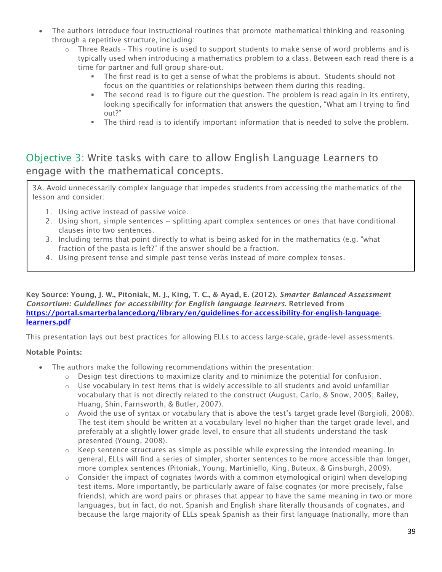- The authors introduce four instructional routines that promote mathematical thinking and reasoning through a repetitive structure, including:
	- $\circ$  Three Reads This routine is used to support students to make sense of word problems and is typically used when introducing a mathematics problem to a class. Between each read there is a time for partner and full group share-out.
		- **•** The first read is to get a sense of what the problems is about. Students should not focus on the quantities or relationships between them during this reading.
		- **•** The second read is to figure out the question. The problem is read again in its entirety, looking specifically for information that answers the question, "What am I trying to find out?"
		- The third read is to identify important information that is needed to solve the problem.

# Objective 3: Write tasks with care to allow English Language Learners to engage with the mathematical concepts.

3A. Avoid unnecessarily complex language that impedes students from accessing the mathematics of the lesson and consider:

- 1. Using active instead of passive voice.
- 2. Using short, simple sentences -- splitting apart complex sentences or ones that have conditional clauses into two sentences.
- 3. Including terms that point directly to what is being asked for in the mathematics (e.g. "what fraction of the pasta is left?" if the answer should be a fraction.
- 4. Using present tense and simple past tense verbs instead of more complex tenses.

Key Source: Young, J. W., Pitoniak, M. J., King, T. C., & Ayad, E. (2012). *Smarter Balanced Assessment Consortium: Guidelines for accessibility for English language learners*. Retrieved from [https://portal.smarterbalanced.org/library/en/guidelines-for-accessibility-for-english-language](https://portal.smarterbalanced.org/library/en/guidelines-for-accessibility-for-english-language-learners.pdf)[learners.pdf](https://portal.smarterbalanced.org/library/en/guidelines-for-accessibility-for-english-language-learners.pdf)

This presentation lays out best practices for allowing ELLs to access large-scale, grade-level assessments.

- The authors make the following recommendations within the presentation:
	- $\circ$  Design test directions to maximize clarity and to minimize the potential for confusion.
	- $\circ$  Use vocabulary in test items that is widely accessible to all students and avoid unfamiliar vocabulary that is not directly related to the construct (August, Carlo, & Snow, 2005; Bailey, Huang, Shin, Farnsworth, & Butler, 2007).
	- $\circ$  Avoid the use of syntax or vocabulary that is above the test's target grade level (Borgioli, 2008). The test item should be written at a vocabulary level no higher than the target grade level, and preferably at a slightly lower grade level, to ensure that all students understand the task presented (Young, 2008).
	- $\circ$  Keep sentence structures as simple as possible while expressing the intended meaning. In general, ELLs will find a series of simpler, shorter sentences to be more accessible than longer, more complex sentences (Pitoniak, Young, Martiniello, King, Buteux, & Ginsburgh, 2009).
	- $\circ$  Consider the impact of cognates (words with a common etymological origin) when developing test items. More importantly, be particularly aware of false cognates (or more precisely, false friends), which are word pairs or phrases that appear to have the same meaning in two or more languages, but in fact, do not. Spanish and English share literally thousands of cognates, and because the large majority of ELLs speak Spanish as their first language (nationally, more than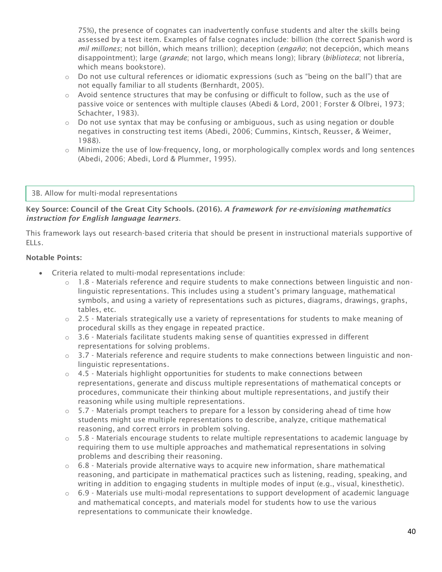75%), the presence of cognates can inadvertently confuse students and alter the skills being assessed by a test item. Examples of false cognates include: billion (the correct Spanish word is *mil millones*; not billón, which means trillion); deception (*engaño*; not decepción, which means disappointment); large (*grande*; not largo, which means long); library (*biblioteca*; not librería, which means bookstore).

- $\circ$  Do not use cultural references or idiomatic expressions (such as "being on the ball") that are not equally familiar to all students (Bernhardt, 2005).
- $\circ$  Avoid sentence structures that may be confusing or difficult to follow, such as the use of passive voice or sentences with multiple clauses (Abedi & Lord, 2001; Forster & Olbrei, 1973; Schachter, 1983).
- $\circ$  Do not use syntax that may be confusing or ambiguous, such as using negation or double negatives in constructing test items (Abedi, 2006; Cummins, Kintsch, Reusser, & Weimer, 1988).
- o Minimize the use of low-frequency, long, or morphologically complex words and long sentences (Abedi, 2006; Abedi, Lord & Plummer, 1995).

### 3B. Allow for multi-modal representations

# Key Source: Council of the Great City Schools. (2016). *A framework for re-envisioning mathematics instruction for English language learners.*

This framework lays out research-based criteria that should be present in instructional materials supportive of ELLs.

- Criteria related to multi-modal representations include:
	- $\circ$  1.8 Materials reference and require students to make connections between linguistic and nonlinguistic representations. This includes using a student's primary language, mathematical symbols, and using a variety of representations such as pictures, diagrams, drawings, graphs, tables, etc.
	- $\circ$  2.5 Materials strategically use a variety of representations for students to make meaning of procedural skills as they engage in repeated practice.
	- $\circ$  3.6 Materials facilitate students making sense of quantities expressed in different representations for solving problems.
	- o 3.7 Materials reference and require students to make connections between linguistic and nonlinguistic representations.
	- $\circ$  4.5 Materials highlight opportunities for students to make connections between representations, generate and discuss multiple representations of mathematical concepts or procedures, communicate their thinking about multiple representations, and justify their reasoning while using multiple representations.
	- $\circ$  5.7 Materials prompt teachers to prepare for a lesson by considering ahead of time how students might use multiple representations to describe, analyze, critique mathematical reasoning, and correct errors in problem solving.
	- $\circ$  5.8 Materials encourage students to relate multiple representations to academic language by requiring them to use multiple approaches and mathematical representations in solving problems and describing their reasoning.
	- $\circ$  6.8 Materials provide alternative ways to acquire new information, share mathematical reasoning, and participate in mathematical practices such as listening, reading, speaking, and writing in addition to engaging students in multiple modes of input (e.g., visual, kinesthetic).
	- $\circ$  6.9 Materials use multi-modal representations to support development of academic language and mathematical concepts, and materials model for students how to use the various representations to communicate their knowledge.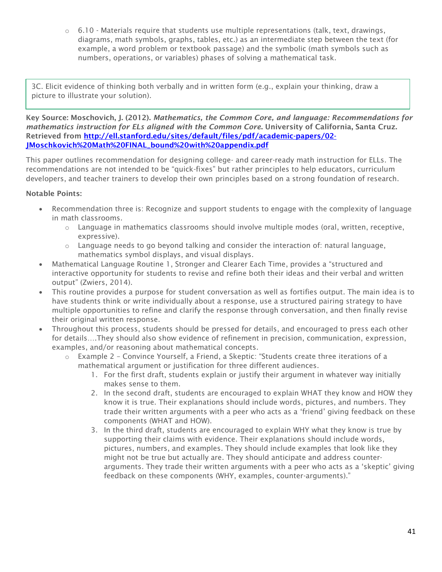$\circ$  6.10 - Materials require that students use multiple representations (talk, text, drawings, diagrams, math symbols, graphs, tables, etc.) as an intermediate step between the text (for example, a word problem or textbook passage) and the symbolic (math symbols such as numbers, operations, or variables) phases of solving a mathematical task.

3C. Elicit evidence of thinking both verbally and in written form (e.g., explain your thinking, draw a picture to illustrate your solution).

Key Source: Moschovich, J. (2012). *Mathematics, the Common Core, and language: Recommendations for mathematics instruction for ELs aligned with the Common Core*. University of California, Santa Cruz. Retrieved from [http://ell.stanford.edu/sites/default/files/pdf/academic-papers/02-](http://ell.stanford.edu/sites/default/files/pdf/academic-papers/02-JMoschkovich%20Math%20FINAL_bound%20with%20appendix.pdf) [JMoschkovich%20Math%20FINAL\\_bound%20with%20appendix.pdf](http://ell.stanford.edu/sites/default/files/pdf/academic-papers/02-JMoschkovich%20Math%20FINAL_bound%20with%20appendix.pdf)

This paper outlines recommendation for designing college- and career-ready math instruction for ELLs. The recommendations are not intended to be "quick-fixes" but rather principles to help educators, curriculum developers, and teacher trainers to develop their own principles based on a strong foundation of research.

- Recommendation three is: Recognize and support students to engage with the complexity of language in math classrooms.
	- $\circ$  Language in mathematics classrooms should involve multiple modes (oral, written, receptive, expressive).
	- o Language needs to go beyond talking and consider the interaction of: natural language, mathematics symbol displays, and visual displays.
- Mathematical Language Routine 1, Stronger and Clearer Each Time, provides a "structured and interactive opportunity for students to revise and refine both their ideas and their verbal and written output" (Zwiers, 2014).
- This routine provides a purpose for student conversation as well as fortifies output. The main idea is to have students think or write individually about a response, use a structured pairing strategy to have multiple opportunities to refine and clarify the response through conversation, and then finally revise their original written response.
- Throughout this process, students should be pressed for details, and encouraged to press each other for details….They should also show evidence of refinement in precision, communication, expression, examples, and/or reasoning about mathematical concepts.
	- o Example 2 Convince Yourself, a Friend, a Skeptic: "Students create three iterations of a mathematical argument or justification for three different audiences.
		- 1. For the first draft, students explain or justify their argument in whatever way initially makes sense to them.
		- 2. In the second draft, students are encouraged to explain WHAT they know and HOW they know it is true. Their explanations should include words, pictures, and numbers. They trade their written arguments with a peer who acts as a 'friend' giving feedback on these components (WHAT and HOW).
		- 3. In the third draft, students are encouraged to explain WHY what they know is true by supporting their claims with evidence. Their explanations should include words, pictures, numbers, and examples. They should include examples that look like they might not be true but actually are. They should anticipate and address counterarguments. They trade their written arguments with a peer who acts as a 'skeptic' giving feedback on these components (WHY, examples, counter-arguments)."